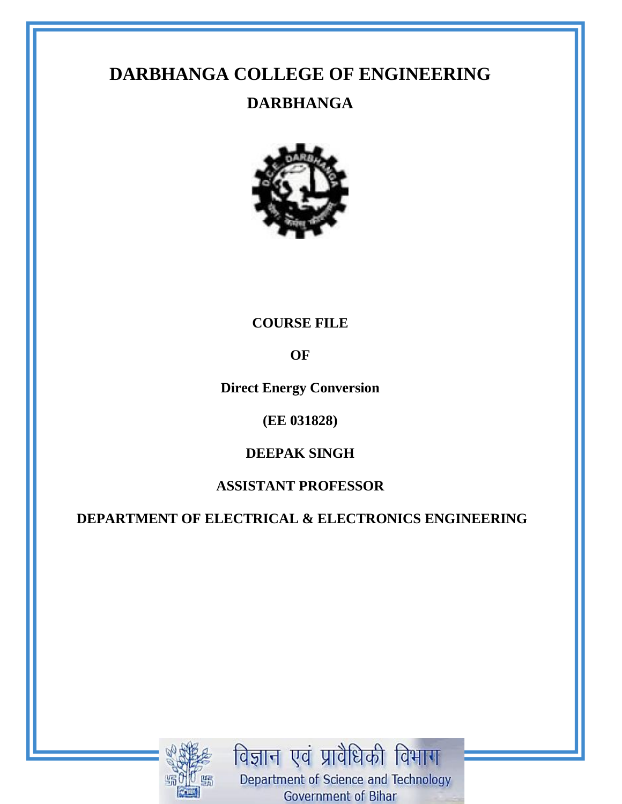# **DARBHANGA COLLEGE OF ENGINEERING**

# **DARBHANGA**



## **COURSE FILE**

**OF**

**Direct Energy Conversion**

## **(EE 031828)**

# **DEEPAK SINGH**

## **ASSISTANT PROFESSOR**

**DEPARTMENT OF ELECTRICAL & ELECTRONICS ENGINEERING**



विज्ञान एवं प्रावैधिकी विभाग Department of Science and Technology Government of Bihar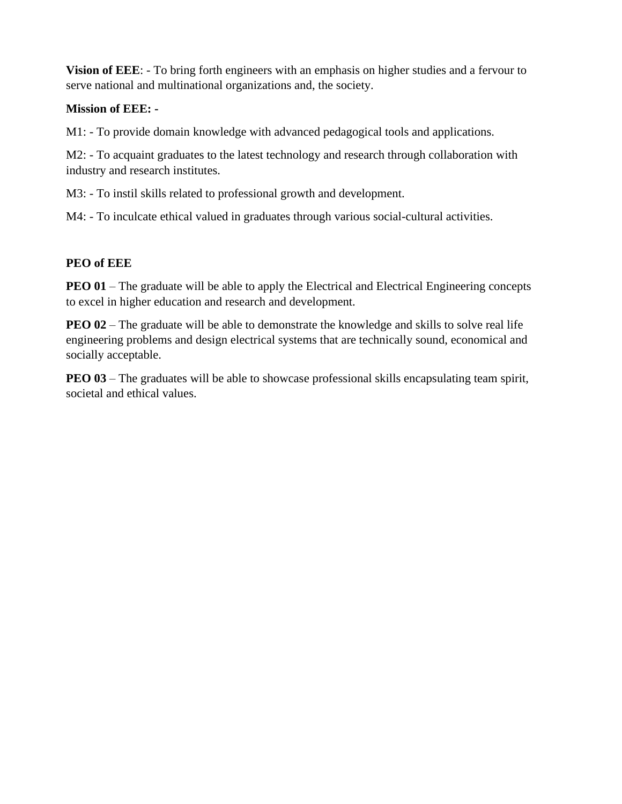**Vision of EEE**: - To bring forth engineers with an emphasis on higher studies and a fervour to serve national and multinational organizations and, the society.

#### **Mission of EEE: -**

M1: - To provide domain knowledge with advanced pedagogical tools and applications.

M2: - To acquaint graduates to the latest technology and research through collaboration with industry and research institutes.

M3: - To instil skills related to professional growth and development.

M4: - To inculcate ethical valued in graduates through various social-cultural activities.

## **PEO of EEE**

**PEO 01** – The graduate will be able to apply the Electrical and Electrical Engineering concepts to excel in higher education and research and development.

**PEO 02** – The graduate will be able to demonstrate the knowledge and skills to solve real life engineering problems and design electrical systems that are technically sound, economical and socially acceptable.

**PEO 03** – The graduates will be able to showcase professional skills encapsulating team spirit, societal and ethical values.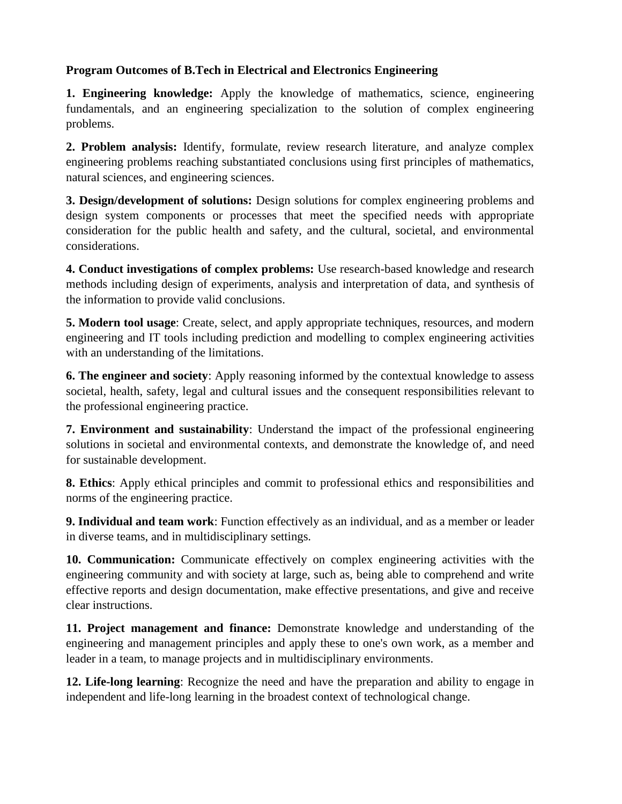### **Program Outcomes of B.Tech in Electrical and Electronics Engineering**

**1. Engineering knowledge:** Apply the knowledge of mathematics, science, engineering fundamentals, and an engineering specialization to the solution of complex engineering problems.

**2. Problem analysis:** Identify, formulate, review research literature, and analyze complex engineering problems reaching substantiated conclusions using first principles of mathematics, natural sciences, and engineering sciences.

**3. Design/development of solutions:** Design solutions for complex engineering problems and design system components or processes that meet the specified needs with appropriate consideration for the public health and safety, and the cultural, societal, and environmental considerations.

**4. Conduct investigations of complex problems:** Use research-based knowledge and research methods including design of experiments, analysis and interpretation of data, and synthesis of the information to provide valid conclusions.

**5. Modern tool usage**: Create, select, and apply appropriate techniques, resources, and modern engineering and IT tools including prediction and modelling to complex engineering activities with an understanding of the limitations.

**6. The engineer and society**: Apply reasoning informed by the contextual knowledge to assess societal, health, safety, legal and cultural issues and the consequent responsibilities relevant to the professional engineering practice.

**7. Environment and sustainability**: Understand the impact of the professional engineering solutions in societal and environmental contexts, and demonstrate the knowledge of, and need for sustainable development.

**8. Ethics**: Apply ethical principles and commit to professional ethics and responsibilities and norms of the engineering practice.

**9. Individual and team work**: Function effectively as an individual, and as a member or leader in diverse teams, and in multidisciplinary settings.

**10. Communication:** Communicate effectively on complex engineering activities with the engineering community and with society at large, such as, being able to comprehend and write effective reports and design documentation, make effective presentations, and give and receive clear instructions.

**11. Project management and finance:** Demonstrate knowledge and understanding of the engineering and management principles and apply these to one's own work, as a member and leader in a team, to manage projects and in multidisciplinary environments.

**12. Life-long learning**: Recognize the need and have the preparation and ability to engage in independent and life-long learning in the broadest context of technological change.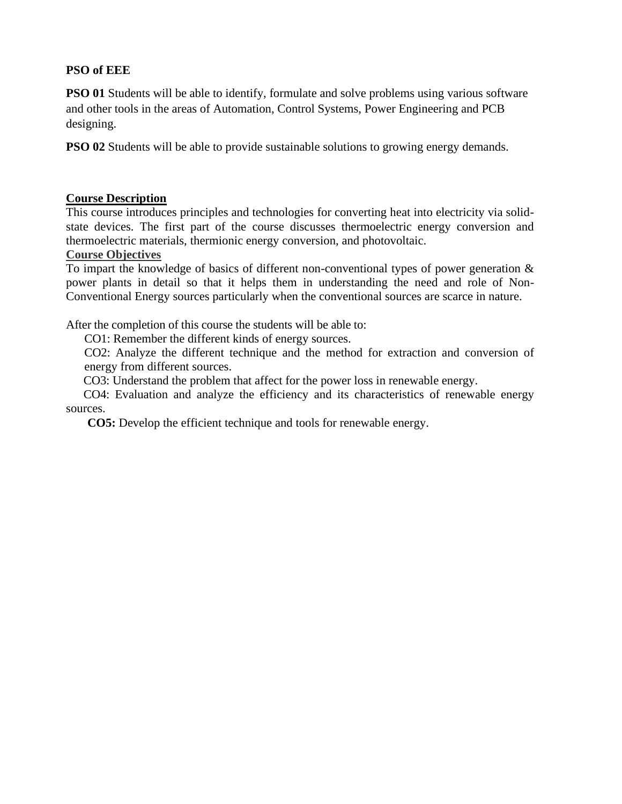#### **PSO of EEE**

**PSO 01** Students will be able to identify, formulate and solve problems using various software and other tools in the areas of Automation, Control Systems, Power Engineering and PCB designing.

**PSO 02** Students will be able to provide sustainable solutions to growing energy demands.

#### **Course Description**

This course introduces principles and technologies for converting heat into electricity via solidstate devices. The first part of the course discusses thermoelectric energy conversion and thermoelectric materials, thermionic energy conversion, and photovoltaic.

#### **Course Objectives**

To impart the knowledge of basics of different non-conventional types of power generation & power plants in detail so that it helps them in understanding the need and role of Non-Conventional Energy sources particularly when the conventional sources are scarce in nature.

After the completion of this course the students will be able to:

CO1: Remember the different kinds of energy sources.

CO2: Analyze the different technique and the method for extraction and conversion of energy from different sources.

CO3: Understand the problem that affect for the power loss in renewable energy.

 CO4: Evaluation and analyze the efficiency and its characteristics of renewable energy sources.

**CO5:** Develop the efficient technique and tools for renewable energy.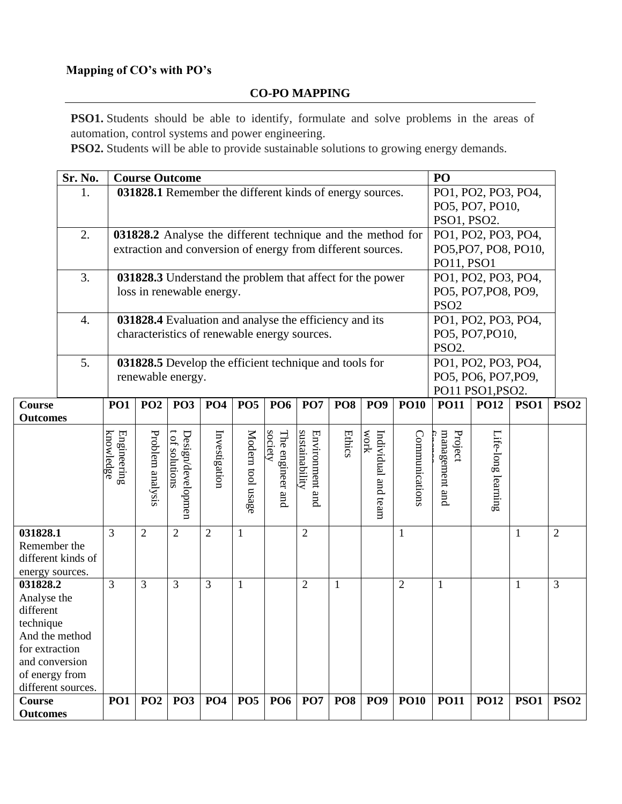## **Mapping of CO's with PO's**

#### **CO-PO MAPPING**

**PSO1.** Students should be able to identify, formulate and solve problems in the areas of automation, control systems and power engineering.

**PSO2.** Students will be able to provide sustainable solutions to growing energy demands.

|                 | Sr. No.            | <b>Course Outcome</b>    |                  |                                          |                                                             |                   |                             |                                   | PO              |                        |                |                           |                      |              |                  |
|-----------------|--------------------|--------------------------|------------------|------------------------------------------|-------------------------------------------------------------|-------------------|-----------------------------|-----------------------------------|-----------------|------------------------|----------------|---------------------------|----------------------|--------------|------------------|
|                 | 1.                 |                          |                  |                                          | 031828.1 Remember the different kinds of energy sources.    |                   |                             |                                   |                 |                        |                |                           | PO1, PO2, PO3, PO4,  |              |                  |
|                 |                    |                          |                  |                                          |                                                             |                   |                             |                                   |                 |                        |                | PO5, PO7, PO10,           |                      |              |                  |
|                 |                    |                          |                  |                                          |                                                             |                   | PSO1, PSO2.                 |                                   |                 |                        |                |                           |                      |              |                  |
|                 | 2.                 |                          |                  |                                          | 031828.2 Analyse the different technique and the method for |                   |                             |                                   |                 |                        |                | PO1, PO2, PO3, PO4,       |                      |              |                  |
|                 |                    |                          |                  |                                          | extraction and conversion of energy from different sources. |                   |                             |                                   |                 |                        |                |                           | PO5, PO7, PO8, PO10, |              |                  |
|                 |                    |                          |                  |                                          |                                                             |                   |                             |                                   |                 |                        |                | PO11, PSO1                |                      |              |                  |
|                 | 3.                 |                          |                  |                                          | 031828.3 Understand the problem that affect for the power   |                   |                             |                                   |                 |                        |                |                           | PO1, PO2, PO3, PO4,  |              |                  |
|                 |                    |                          |                  |                                          | loss in renewable energy.                                   |                   |                             |                                   |                 |                        |                |                           | PO5, PO7, PO8, PO9,  |              |                  |
|                 |                    |                          |                  |                                          |                                                             |                   |                             |                                   |                 |                        |                | PSO <sub>2</sub>          |                      |              |                  |
|                 | $\boldsymbol{4}$ . |                          |                  |                                          | 031828.4 Evaluation and analyse the efficiency and its      |                   |                             |                                   |                 |                        |                |                           | PO1, PO2, PO3, PO4,  |              |                  |
|                 |                    |                          |                  |                                          | characteristics of renewable energy sources.                |                   |                             |                                   |                 |                        |                |                           | PO5, PO7, PO10,      |              |                  |
|                 |                    |                          |                  |                                          |                                                             |                   |                             |                                   |                 |                        |                | PSO <sub>2</sub> .        |                      |              |                  |
|                 | 5.                 |                          |                  |                                          | 031828.5 Develop the efficient technique and tools for      |                   |                             |                                   |                 |                        |                |                           | PO1, PO2, PO3, PO4,  |              |                  |
|                 |                    |                          |                  | renewable energy.                        |                                                             |                   |                             |                                   |                 |                        |                |                           | PO5, PO6, PO7, PO9,  |              |                  |
|                 |                    |                          |                  |                                          |                                                             |                   |                             |                                   |                 |                        |                |                           | PO11 PSO1, PSO2.     |              |                  |
| Course          |                    | <b>PO1</b>               | PO <sub>2</sub>  | PO <sub>3</sub>                          | <b>PO4</b>                                                  | PO <sub>5</sub>   | <b>PO6</b>                  | PO7                               | PO <sub>8</sub> | PO <sub>9</sub>        | <b>PO10</b>    | <b>PO11</b>               | <b>PO12</b>          | <b>PSO1</b>  | PSO <sub>2</sub> |
| <b>Outcomes</b> |                    |                          |                  |                                          |                                                             |                   |                             |                                   |                 |                        |                |                           |                      |              |                  |
|                 |                    |                          |                  |                                          |                                                             |                   |                             |                                   |                 |                        |                |                           |                      |              |                  |
|                 |                    | knowledge<br>Engineering | Problem analysis | <b>Design/developmen</b><br>of solutions | Investigation                                               | Modern tool usage | society<br>The engineer and | sustainability<br>Environment and | <b>Ethics</b>   | work<br>Individual and | Communications | management and<br>Project | Life-long learning   |              |                  |
|                 |                    |                          |                  |                                          |                                                             |                   |                             |                                   |                 |                        |                |                           |                      |              |                  |
|                 |                    |                          |                  |                                          |                                                             |                   |                             |                                   |                 |                        |                |                           |                      |              |                  |
|                 |                    |                          |                  |                                          |                                                             |                   |                             |                                   |                 |                        |                |                           |                      |              |                  |
|                 |                    |                          |                  |                                          |                                                             |                   |                             |                                   |                 | team                   |                |                           |                      |              |                  |
|                 |                    |                          |                  |                                          |                                                             |                   |                             |                                   |                 |                        |                |                           |                      |              |                  |
| 031828.1        |                    | 3                        | $\overline{2}$   | $\overline{2}$                           | $\overline{2}$                                              | $\mathbf{1}$      |                             | $\overline{2}$                    |                 |                        | $\mathbf{1}$   |                           |                      | $\mathbf{1}$ | $\overline{2}$   |
| Remember the    |                    |                          |                  |                                          |                                                             |                   |                             |                                   |                 |                        |                |                           |                      |              |                  |
|                 | different kinds of |                          |                  |                                          |                                                             |                   |                             |                                   |                 |                        |                |                           |                      |              |                  |
| energy sources. |                    |                          |                  |                                          |                                                             |                   |                             |                                   |                 |                        |                |                           |                      |              |                  |
| 031828.2        |                    | 3                        | 3                | 3                                        | 3                                                           | $\mathbf{1}$      |                             | $\overline{2}$                    | 1               |                        | $\overline{2}$ | $\mathbf{1}$              |                      | $\mathbf{1}$ | 3                |
| Analyse the     |                    |                          |                  |                                          |                                                             |                   |                             |                                   |                 |                        |                |                           |                      |              |                  |
| different       |                    |                          |                  |                                          |                                                             |                   |                             |                                   |                 |                        |                |                           |                      |              |                  |
| technique       |                    |                          |                  |                                          |                                                             |                   |                             |                                   |                 |                        |                |                           |                      |              |                  |
| And the method  |                    |                          |                  |                                          |                                                             |                   |                             |                                   |                 |                        |                |                           |                      |              |                  |
| for extraction  |                    |                          |                  |                                          |                                                             |                   |                             |                                   |                 |                        |                |                           |                      |              |                  |
| and conversion  |                    |                          |                  |                                          |                                                             |                   |                             |                                   |                 |                        |                |                           |                      |              |                  |
| of energy from  |                    |                          |                  |                                          |                                                             |                   |                             |                                   |                 |                        |                |                           |                      |              |                  |
| Course          | different sources. | PO1                      | PO <sub>2</sub>  | PO <sub>3</sub>                          | <b>PO4</b>                                                  | <b>PO5</b>        | PO <sub>6</sub>             | <b>PO7</b>                        | <b>PO8</b>      | PO <sub>9</sub>        | <b>PO10</b>    | <b>PO11</b>               | <b>PO12</b>          | <b>PSO1</b>  | PSO <sub>2</sub> |
| <b>Outcomes</b> |                    |                          |                  |                                          |                                                             |                   |                             |                                   |                 |                        |                |                           |                      |              |                  |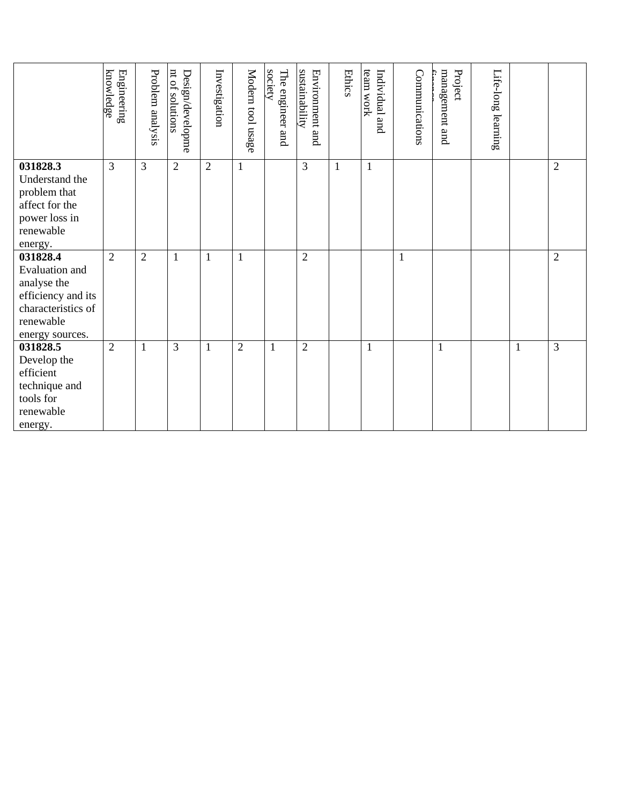|                                          | knowledge<br>Engineering | Problem analysis | nt of solutions<br><b>Design/developme</b> | Investigation  | Modern tool usage | The engineer and<br>society | sustainability<br>Environment and | <b>Ethics</b> | team work<br>Individual<br>and | Communications | management and<br>Project | Life-long learning |              |                |
|------------------------------------------|--------------------------|------------------|--------------------------------------------|----------------|-------------------|-----------------------------|-----------------------------------|---------------|--------------------------------|----------------|---------------------------|--------------------|--------------|----------------|
| 031828.3<br>Understand the               | 3                        | $\overline{3}$   | $\overline{2}$                             | $\overline{2}$ | $\mathbf{1}$      |                             | $\overline{3}$                    | $\mathbf{1}$  | $\mathbf{1}$                   |                |                           |                    |              | $\overline{2}$ |
| problem that                             |                          |                  |                                            |                |                   |                             |                                   |               |                                |                |                           |                    |              |                |
| affect for the<br>power loss in          |                          |                  |                                            |                |                   |                             |                                   |               |                                |                |                           |                    |              |                |
| renewable                                |                          |                  |                                            |                |                   |                             |                                   |               |                                |                |                           |                    |              |                |
| energy.                                  |                          |                  |                                            |                |                   |                             |                                   |               |                                |                |                           |                    |              |                |
| 031828.4                                 | $\overline{2}$           | $\overline{2}$   | 1                                          | $\mathbf{1}$   | $\mathbf{1}$      |                             | $\overline{2}$                    |               |                                | $\mathbf{1}$   |                           |                    |              | $\overline{2}$ |
| Evaluation and                           |                          |                  |                                            |                |                   |                             |                                   |               |                                |                |                           |                    |              |                |
| analyse the                              |                          |                  |                                            |                |                   |                             |                                   |               |                                |                |                           |                    |              |                |
| efficiency and its<br>characteristics of |                          |                  |                                            |                |                   |                             |                                   |               |                                |                |                           |                    |              |                |
| renewable                                |                          |                  |                                            |                |                   |                             |                                   |               |                                |                |                           |                    |              |                |
| energy sources.                          |                          |                  |                                            |                |                   |                             |                                   |               |                                |                |                           |                    |              |                |
| 031828.5                                 | $\overline{2}$           | 1                | 3                                          | $\mathbf{1}$   | $\overline{2}$    | $\mathbf{1}$                | $\overline{2}$                    |               | $\mathbf{1}$                   |                | $\mathbf{1}$              |                    | $\mathbf{1}$ | 3              |
| Develop the                              |                          |                  |                                            |                |                   |                             |                                   |               |                                |                |                           |                    |              |                |
| efficient                                |                          |                  |                                            |                |                   |                             |                                   |               |                                |                |                           |                    |              |                |
| technique and                            |                          |                  |                                            |                |                   |                             |                                   |               |                                |                |                           |                    |              |                |
| tools for                                |                          |                  |                                            |                |                   |                             |                                   |               |                                |                |                           |                    |              |                |
| renewable                                |                          |                  |                                            |                |                   |                             |                                   |               |                                |                |                           |                    |              |                |
| energy.                                  |                          |                  |                                            |                |                   |                             |                                   |               |                                |                |                           |                    |              |                |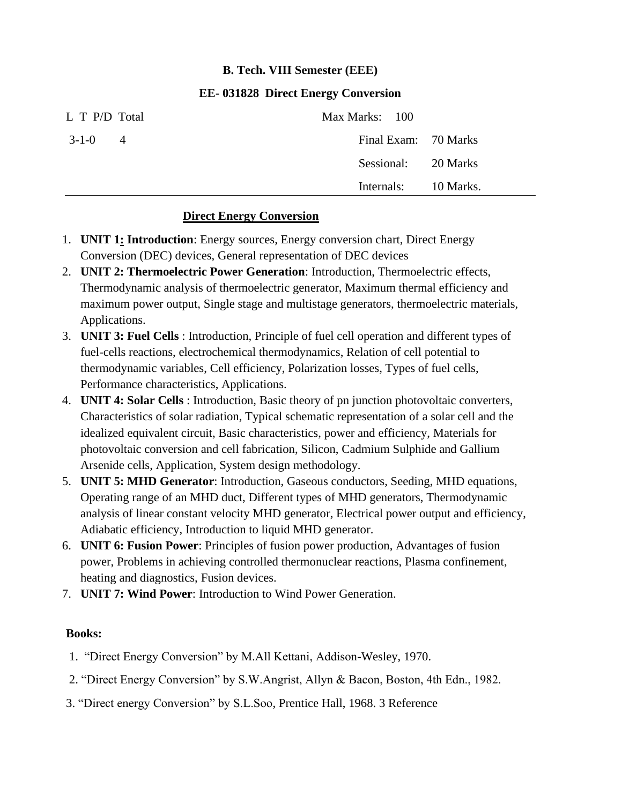## **B. Tech. VIII Semester (EEE)**

#### **EE- 031828 Direct Energy Conversion**

| L T P/D Total                 | Max Marks: 100       |  |
|-------------------------------|----------------------|--|
| $3 - 1 - 0$<br>$\overline{4}$ | Final Exam: 70 Marks |  |
|                               | Sessional: 20 Marks  |  |
|                               | Internals: 10 Marks. |  |

#### **Direct Energy Conversion**

- 1. **UNIT 1: Introduction**: Energy sources, Energy conversion chart, Direct Energy Conversion (DEC) devices, General representation of DEC devices
- 2. **UNIT 2: Thermoelectric Power Generation**: Introduction, Thermoelectric effects, Thermodynamic analysis of thermoelectric generator, Maximum thermal efficiency and maximum power output, Single stage and multistage generators, thermoelectric materials, Applications.
- 3. **UNIT 3: Fuel Cells** : Introduction, Principle of fuel cell operation and different types of fuel-cells reactions, electrochemical thermodynamics, Relation of cell potential to thermodynamic variables, Cell efficiency, Polarization losses, Types of fuel cells, Performance characteristics, Applications.
- 4. **UNIT 4: Solar Cells** : Introduction, Basic theory of pn junction photovoltaic converters, Characteristics of solar radiation, Typical schematic representation of a solar cell and the idealized equivalent circuit, Basic characteristics, power and efficiency, Materials for photovoltaic conversion and cell fabrication, Silicon, Cadmium Sulphide and Gallium Arsenide cells, Application, System design methodology.
- 5. **UNIT 5: MHD Generator**: Introduction, Gaseous conductors, Seeding, MHD equations, Operating range of an MHD duct, Different types of MHD generators, Thermodynamic analysis of linear constant velocity MHD generator, Electrical power output and efficiency, Adiabatic efficiency, Introduction to liquid MHD generator.
- 6. **UNIT 6: Fusion Power**: Principles of fusion power production, Advantages of fusion power, Problems in achieving controlled thermonuclear reactions, Plasma confinement, heating and diagnostics, Fusion devices.
- 7. **UNIT 7: Wind Power**: Introduction to Wind Power Generation.

#### **Books:**

- 1. "Direct Energy Conversion" by M.All Kettani, Addison-Wesley, 1970.
- 2. "Direct Energy Conversion" by S.W.Angrist, Allyn & Bacon, Boston, 4th Edn., 1982.
- 3. "Direct energy Conversion" by S.L.Soo, Prentice Hall, 1968. 3 Reference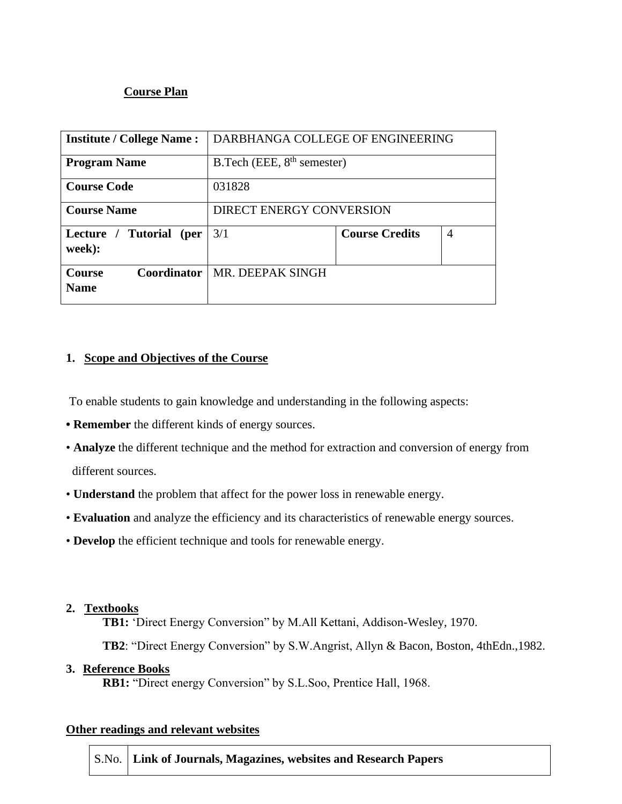#### **Course Plan**

| <b>Institute / College Name:</b>            | DARBHANGA COLLEGE OF ENGINEERING |                       |                |  |  |
|---------------------------------------------|----------------------------------|-----------------------|----------------|--|--|
| <b>Program Name</b>                         | B. Tech (EEE, $8th$ semester)    |                       |                |  |  |
| <b>Course Code</b>                          | 031828                           |                       |                |  |  |
| <b>Course Name</b>                          | <b>DIRECT ENERGY CONVERSION</b>  |                       |                |  |  |
| Lecture / Tutorial (per<br>week):           | 3/1                              | <b>Course Credits</b> | $\overline{4}$ |  |  |
| <b>Coordinator</b><br>Course<br><b>Name</b> | MR. DEEPAK SINGH                 |                       |                |  |  |

#### **1. Scope and Objectives of the Course**

To enable students to gain knowledge and understanding in the following aspects:

- **Remember** the different kinds of energy sources.
- **Analyze** the different technique and the method for extraction and conversion of energy from different sources.
- **Understand** the problem that affect for the power loss in renewable energy.
- **Evaluation** and analyze the efficiency and its characteristics of renewable energy sources.
- **Develop** the efficient technique and tools for renewable energy.

#### **2. Textbooks**

**TB1:** 'Direct Energy Conversion" by M.All Kettani, Addison-Wesley, 1970.

**TB2**: "Direct Energy Conversion" by S.W.Angrist, Allyn & Bacon, Boston, 4thEdn.,1982.

#### **3. Reference Books**

**RB1:** "Direct energy Conversion" by S.L.Soo, Prentice Hall, 1968.

#### **Other readings and relevant websites**

S.No. **Link of Journals, Magazines, websites and Research Papers**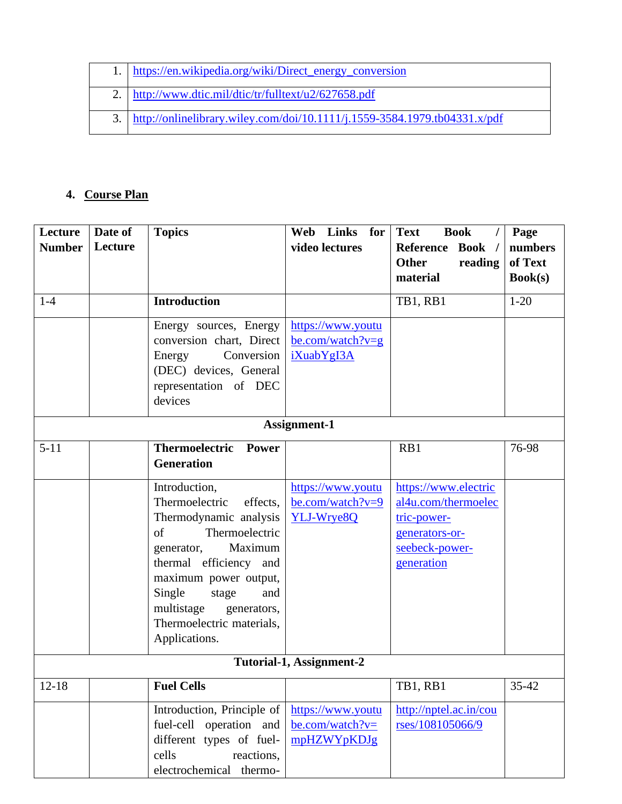| 1. https://en.wikipedia.org/wiki/Direct_energy_conversion                    |
|------------------------------------------------------------------------------|
| 2. http://www.dtic.mil/dtic/tr/fulltext/u2/627658.pdf                        |
| 3. http://onlinelibrary.wiley.com/doi/10.1111/j.1559-3584.1979.tb04331.x/pdf |

## **4. Course Plan**

| Lecture<br><b>Number</b> | Date of<br>Lecture | <b>Topics</b>                                                                                                                                                                                                                                                                  | Web Links for<br>video lectures                          | <b>Text</b><br><b>Book</b><br><b>Reference</b><br><b>Book</b><br><b>Other</b>                                | Page<br>numbers<br>of Text |
|--------------------------|--------------------|--------------------------------------------------------------------------------------------------------------------------------------------------------------------------------------------------------------------------------------------------------------------------------|----------------------------------------------------------|--------------------------------------------------------------------------------------------------------------|----------------------------|
|                          |                    |                                                                                                                                                                                                                                                                                |                                                          | reading<br>material                                                                                          | Book(s)                    |
| $1-4$                    |                    | <b>Introduction</b>                                                                                                                                                                                                                                                            |                                                          | TB1, RB1                                                                                                     | $1-20$                     |
|                          |                    | Energy sources, Energy<br>conversion chart, Direct<br>Conversion<br>Energy<br>(DEC) devices, General<br>representation of DEC<br>devices                                                                                                                                       | https://www.youtu<br>be.com/watch? $v = g$<br>iXuabYgI3A |                                                                                                              |                            |
|                          |                    |                                                                                                                                                                                                                                                                                | Assignment-1                                             |                                                                                                              |                            |
| $5 - 11$                 |                    | <b>Thermoelectric Power</b><br><b>Generation</b>                                                                                                                                                                                                                               |                                                          | RB1                                                                                                          | 76-98                      |
|                          |                    | Introduction,<br>Thermoelectric<br>effects,<br>Thermodynamic analysis<br>Thermoelectric<br>of<br>Maximum<br>generator,<br>thermal efficiency and<br>maximum power output,<br>Single<br>stage<br>and<br>multistage<br>generators,<br>Thermoelectric materials,<br>Applications. | https://www.youtu<br>be.com/watch?v=9<br>YLJ-Wrye8Q      | https://www.electric<br>al4u.com/thermoelec<br>tric-power-<br>generators-or-<br>seebeck-power-<br>generation |                            |
|                          |                    |                                                                                                                                                                                                                                                                                | Tutorial-1, Assignment-2                                 |                                                                                                              |                            |
| $12 - 18$                |                    | <b>Fuel Cells</b>                                                                                                                                                                                                                                                              |                                                          | TB1, RB1                                                                                                     | 35-42                      |
|                          |                    | Introduction, Principle of<br>fuel-cell operation and<br>different types of fuel-<br>cells<br>reactions,<br>electrochemical thermo-                                                                                                                                            | https://www.youtu<br>$be.com/watch?v=$<br>mpHZWYpKDJg    | http://nptel.ac.in/cou<br>rses/108105066/9                                                                   |                            |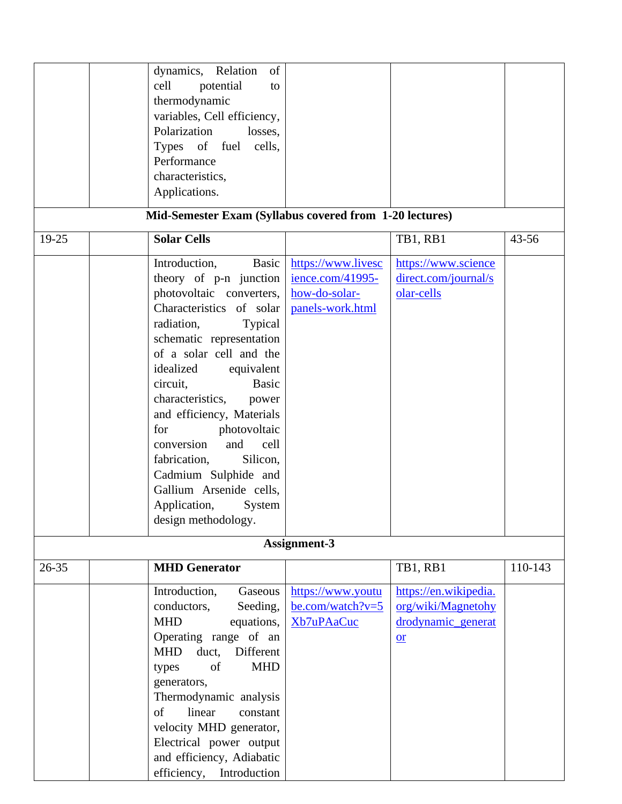|           | dynamics, Relation<br>of                                |                    |                       |           |
|-----------|---------------------------------------------------------|--------------------|-----------------------|-----------|
|           | cell<br>potential<br>to                                 |                    |                       |           |
|           | thermodynamic                                           |                    |                       |           |
|           | variables, Cell efficiency,                             |                    |                       |           |
|           | Polarization<br>losses,                                 |                    |                       |           |
|           | Types of fuel<br>cells,                                 |                    |                       |           |
|           | Performance                                             |                    |                       |           |
|           | characteristics,                                        |                    |                       |           |
|           | Applications.                                           |                    |                       |           |
|           |                                                         |                    |                       |           |
|           | Mid-Semester Exam (Syllabus covered from 1-20 lectures) |                    |                       |           |
| 19-25     | <b>Solar Cells</b>                                      |                    | TB1, RB1              | $43 - 56$ |
|           | Introduction,<br>Basic                                  | https://www.livesc | https://www.science   |           |
|           | theory of p-n junction                                  | ience.com/41995-   | direct.com/journal/s  |           |
|           | photovoltaic converters,                                | how-do-solar-      | olar-cells            |           |
|           | Characteristics of solar                                | panels-work.html   |                       |           |
|           | radiation,<br>Typical                                   |                    |                       |           |
|           | schematic representation                                |                    |                       |           |
|           | of a solar cell and the                                 |                    |                       |           |
|           |                                                         |                    |                       |           |
|           | idealized<br>equivalent                                 |                    |                       |           |
|           | <b>Basic</b><br>circuit,                                |                    |                       |           |
|           | characteristics,<br>power                               |                    |                       |           |
|           | and efficiency, Materials                               |                    |                       |           |
|           | photovoltaic<br>for                                     |                    |                       |           |
|           | and<br>conversion<br>cell                               |                    |                       |           |
|           | fabrication,<br>Silicon,                                |                    |                       |           |
|           | Cadmium Sulphide and                                    |                    |                       |           |
|           | Gallium Arsenide cells,                                 |                    |                       |           |
|           | Application,<br>System                                  |                    |                       |           |
|           | design methodology.                                     |                    |                       |           |
|           |                                                         |                    |                       |           |
|           |                                                         | Assignment-3       |                       |           |
| $26 - 35$ | <b>MHD Generator</b>                                    |                    | TB1, RB1              | 110-143   |
|           | Introduction,<br>Gaseous                                | https://www.youtu  | https://en.wikipedia. |           |
|           | conductors,<br>Seeding,                                 | be.com/watch?v=5   | org/wiki/Magnetohy    |           |
|           | <b>MHD</b><br>equations,                                | Xb7uPAaCuc         | drodynamic_generat    |           |
|           | Operating range of an                                   |                    | $or$                  |           |
|           | Different<br><b>MHD</b><br>duct,                        |                    |                       |           |
|           | <b>MHD</b><br>of<br>types                               |                    |                       |           |
|           | generators,                                             |                    |                       |           |
|           | Thermodynamic analysis                                  |                    |                       |           |
|           | linear<br>of<br>constant                                |                    |                       |           |
|           |                                                         |                    |                       |           |
|           | velocity MHD generator,                                 |                    |                       |           |
|           | Electrical power output                                 |                    |                       |           |
|           | and efficiency, Adiabatic                               |                    |                       |           |
|           | efficiency,<br>Introduction                             |                    |                       |           |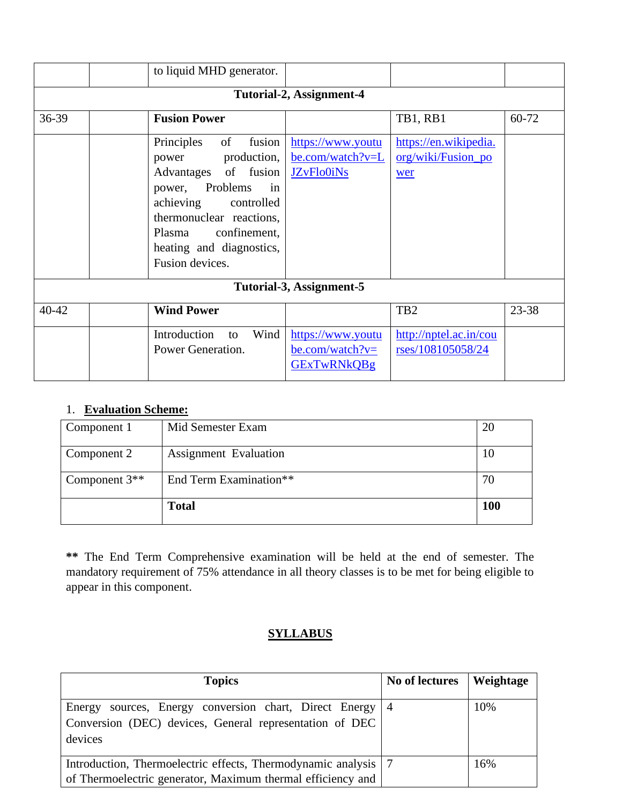|           | to liquid MHD generator.                                                                                                                                                                                                               |                                                                                  |                                                    |       |  |  |
|-----------|----------------------------------------------------------------------------------------------------------------------------------------------------------------------------------------------------------------------------------------|----------------------------------------------------------------------------------|----------------------------------------------------|-------|--|--|
|           | Tutorial-2, Assignment-4                                                                                                                                                                                                               |                                                                                  |                                                    |       |  |  |
| 36-39     | <b>Fusion Power</b>                                                                                                                                                                                                                    |                                                                                  | TB1, RB1                                           | 60-72 |  |  |
|           | fusion<br>Principles<br>of<br>production,<br>power<br>Advantages of fusion<br>Problems<br>power,<br>in<br>achieving<br>controlled<br>thermonuclear reactions,<br>confinement,<br>Plasma<br>heating and diagnostics,<br>Fusion devices. | https://www.youtu<br>be.com/watch?v=L<br><b>JZvFlo0iNs</b>                       | https://en.wikipedia.<br>org/wiki/Fusion_po<br>wer |       |  |  |
|           |                                                                                                                                                                                                                                        | Tutorial-3, Assignment-5                                                         |                                                    |       |  |  |
| $40 - 42$ | <b>Wind Power</b>                                                                                                                                                                                                                      |                                                                                  | TB <sub>2</sub>                                    | 23-38 |  |  |
|           | Introduction<br>Wind<br>to<br>Power Generation.                                                                                                                                                                                        | https://www.youtu<br>$\underline{\text{be.com}}$ /watch?v=<br><b>GExTwRNkQBg</b> | http://nptel.ac.in/cou<br>rses/108105058/24        |       |  |  |

## 1. **Evaluation Scheme:**

| Component 1     | Mid Semester Exam            | 20         |
|-----------------|------------------------------|------------|
| Component 2     | <b>Assignment Evaluation</b> | 10         |
| Component $3**$ | End Term Examination**       | 70         |
|                 | <b>Total</b>                 | <b>100</b> |

**\*\*** The End Term Comprehensive examination will be held at the end of semester. The mandatory requirement of 75% attendance in all theory classes is to be met for being eligible to appear in this component.

## **SYLLABUS**

| <b>Topics</b>                                                    | No of lectures | Weightage |
|------------------------------------------------------------------|----------------|-----------|
| Energy sources, Energy conversion chart, Direct Energy           | $\sim$ 4       | 10%       |
| Conversion (DEC) devices, General representation of DEC          |                |           |
| devices                                                          |                |           |
| Introduction, Thermoelectric effects, Thermodynamic analysis   7 |                | 16%       |
| of Thermoelectric generator, Maximum thermal efficiency and      |                |           |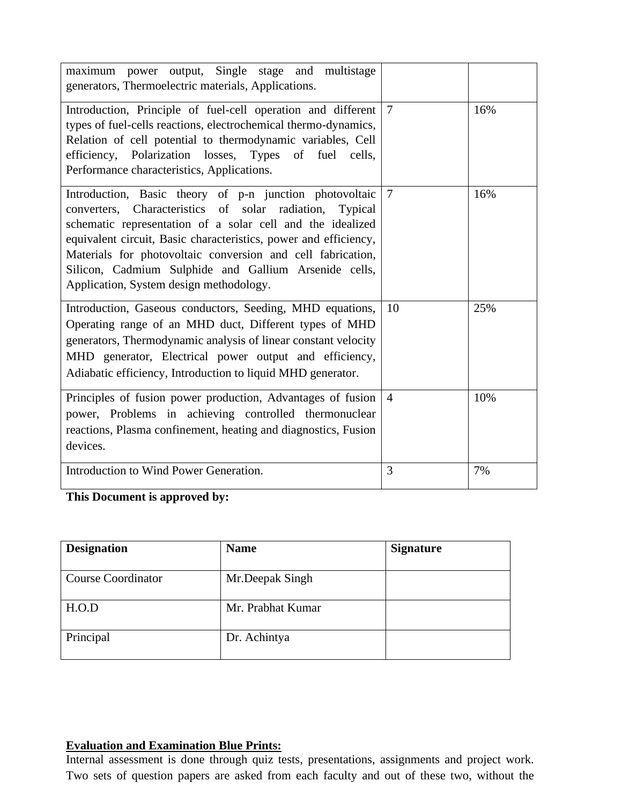| maximum power output, Single stage and multistage<br>generators, Thermoelectric materials, Applications.                                                                                                                                                                                                                                                                                                                   |                |     |
|----------------------------------------------------------------------------------------------------------------------------------------------------------------------------------------------------------------------------------------------------------------------------------------------------------------------------------------------------------------------------------------------------------------------------|----------------|-----|
| Introduction, Principle of fuel-cell operation and different<br>types of fuel-cells reactions, electrochemical thermo-dynamics,<br>Relation of cell potential to thermodynamic variables, Cell<br>efficiency, Polarization losses, Types of fuel cells,<br>Performance characteristics, Applications.                                                                                                                      | $\overline{7}$ | 16% |
| Introduction, Basic theory of p-n junction photovoltaic<br>converters, Characteristics of solar radiation,<br>Typical<br>schematic representation of a solar cell and the idealized<br>equivalent circuit, Basic characteristics, power and efficiency,<br>Materials for photovoltaic conversion and cell fabrication,<br>Silicon, Cadmium Sulphide and Gallium Arsenide cells,<br>Application, System design methodology. | $\overline{7}$ | 16% |
| Introduction, Gaseous conductors, Seeding, MHD equations,<br>Operating range of an MHD duct, Different types of MHD<br>generators, Thermodynamic analysis of linear constant velocity<br>MHD generator, Electrical power output and efficiency,<br>Adiabatic efficiency, Introduction to liquid MHD generator.                                                                                                             | 10             | 25% |
| Principles of fusion power production, Advantages of fusion<br>power, Problems in achieving controlled thermonuclear<br>reactions, Plasma confinement, heating and diagnostics, Fusion<br>devices.                                                                                                                                                                                                                         | $\overline{4}$ | 10% |
| Introduction to Wind Power Generation.                                                                                                                                                                                                                                                                                                                                                                                     | 3              | 7%  |

**This Document is approved by:**

| <b>Designation</b>        | <b>Name</b>       | <b>Signature</b> |
|---------------------------|-------------------|------------------|
| <b>Course Coordinator</b> | Mr.Deepak Singh   |                  |
| H.O.D                     | Mr. Prabhat Kumar |                  |
| Principal                 | Dr. Achintya      |                  |

## **Evaluation and Examination Blue Prints:**

Internal assessment is done through quiz tests, presentations, assignments and project work. Two sets of question papers are asked from each faculty and out of these two, without the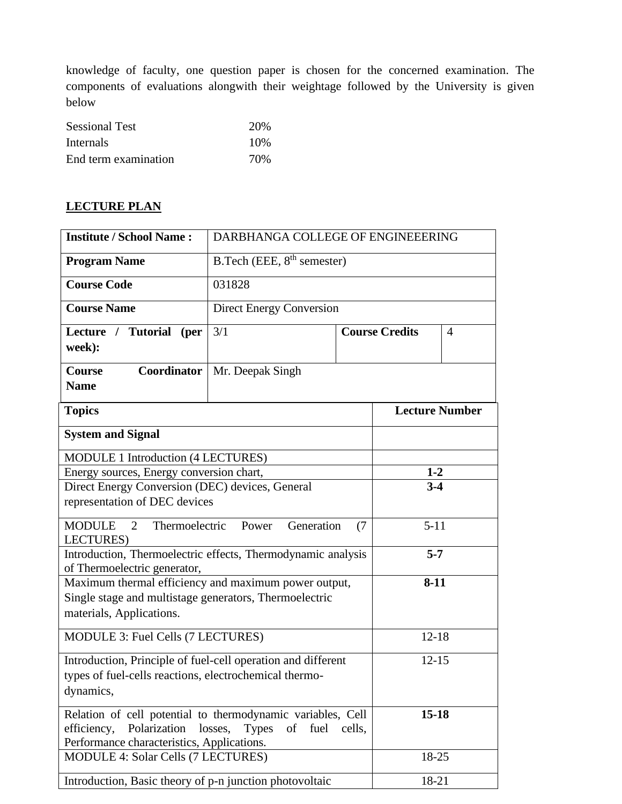knowledge of faculty, one question paper is chosen for the concerned examination. The components of evaluations alongwith their weightage followed by the University is given below

| <b>Sessional Test</b> | 20%  |
|-----------------------|------|
| Internals             | 10\% |
| End term examination  | 70%  |

### **LECTURE PLAN**

| <b>Institute / School Name:</b>                                                                                                                                                       | DARBHANGA COLLEGE OF ENGINEEERING              |         |                       |           |  |
|---------------------------------------------------------------------------------------------------------------------------------------------------------------------------------------|------------------------------------------------|---------|-----------------------|-----------|--|
| <b>Program Name</b>                                                                                                                                                                   | B.Tech (EEE, $8th$ semester)                   |         |                       |           |  |
| <b>Course Code</b>                                                                                                                                                                    | 031828                                         |         |                       |           |  |
| <b>Course Name</b>                                                                                                                                                                    | <b>Direct Energy Conversion</b>                |         |                       |           |  |
| Lecture / Tutorial (per<br>week):                                                                                                                                                     | 3/1<br><b>Course Credits</b><br>$\overline{4}$ |         |                       |           |  |
| <b>Course</b><br>Coordinator<br><b>Name</b>                                                                                                                                           | Mr. Deepak Singh                               |         |                       |           |  |
| <b>Topics</b>                                                                                                                                                                         |                                                |         | <b>Lecture Number</b> |           |  |
| <b>System and Signal</b>                                                                                                                                                              |                                                |         |                       |           |  |
| MODULE 1 Introduction (4 LECTURES)                                                                                                                                                    |                                                |         |                       |           |  |
| Energy sources, Energy conversion chart,                                                                                                                                              |                                                |         | $1-2$                 |           |  |
| Direct Energy Conversion (DEC) devices, General                                                                                                                                       |                                                | $3 - 4$ |                       |           |  |
| representation of DEC devices                                                                                                                                                         |                                                |         |                       |           |  |
| <b>MODULE</b><br>Thermoelectric<br>2<br><b>LECTURES</b> )                                                                                                                             | $5 - 11$                                       |         |                       |           |  |
| Introduction, Thermoelectric effects, Thermodynamic analysis<br>$5 - 7$                                                                                                               |                                                |         |                       |           |  |
| of Thermoelectric generator,                                                                                                                                                          |                                                |         |                       |           |  |
| Maximum thermal efficiency and maximum power output,<br>$8 - 11$<br>Single stage and multistage generators, Thermoelectric<br>materials, Applications.                                |                                                |         |                       |           |  |
| MODULE 3: Fuel Cells (7 LECTURES)                                                                                                                                                     |                                                |         | $12 - 18$             |           |  |
| Introduction, Principle of fuel-cell operation and different<br>types of fuel-cells reactions, electrochemical thermo-<br>dynamics,                                                   |                                                |         |                       | $12 - 15$ |  |
| Relation of cell potential to thermodynamic variables, Cell<br>$15 - 18$<br>efficiency, Polarization losses, Types<br>of fuel<br>cells,<br>Performance characteristics, Applications. |                                                |         |                       |           |  |
|                                                                                                                                                                                       | 18-25<br>MODULE 4: Solar Cells (7 LECTURES)    |         |                       |           |  |
| Introduction, Basic theory of p-n junction photovoltaic                                                                                                                               |                                                | 18-21   |                       |           |  |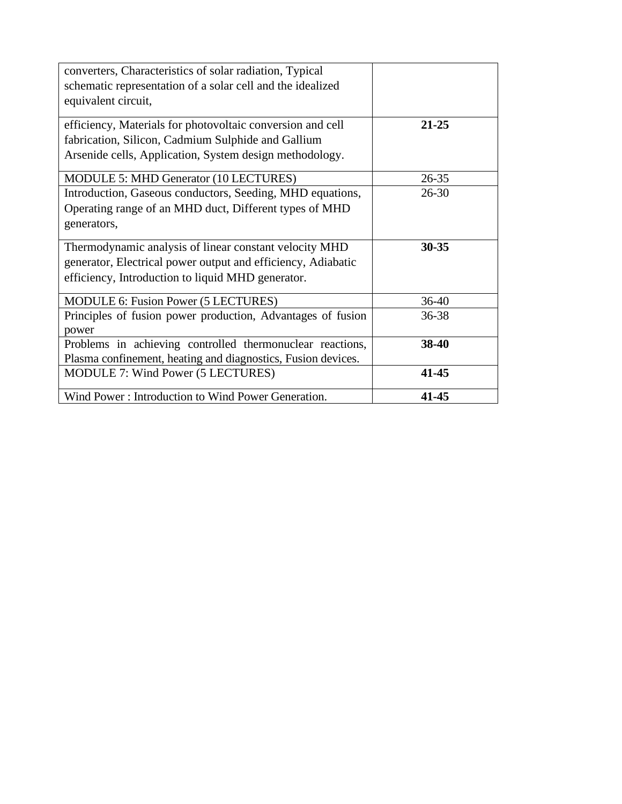| converters, Characteristics of solar radiation, Typical<br>schematic representation of a solar cell and the idealized |           |
|-----------------------------------------------------------------------------------------------------------------------|-----------|
| equivalent circuit,                                                                                                   |           |
| efficiency, Materials for photovoltaic conversion and cell                                                            | $21 - 25$ |
| fabrication, Silicon, Cadmium Sulphide and Gallium                                                                    |           |
| Arsenide cells, Application, System design methodology.                                                               |           |
| MODULE 5: MHD Generator (10 LECTURES)                                                                                 | $26 - 35$ |
| Introduction, Gaseous conductors, Seeding, MHD equations,                                                             | $26 - 30$ |
| Operating range of an MHD duct, Different types of MHD                                                                |           |
| generators,                                                                                                           |           |
| Thermodynamic analysis of linear constant velocity MHD                                                                | $30 - 35$ |
| generator, Electrical power output and efficiency, Adiabatic                                                          |           |
| efficiency, Introduction to liquid MHD generator.                                                                     |           |
| MODULE 6: Fusion Power (5 LECTURES)                                                                                   | $36-40$   |
| Principles of fusion power production, Advantages of fusion<br>power                                                  | $36 - 38$ |
| Problems in achieving controlled thermonuclear reactions,                                                             | 38-40     |
| Plasma confinement, heating and diagnostics, Fusion devices.                                                          |           |
| MODULE 7: Wind Power (5 LECTURES)                                                                                     | $41 - 45$ |
| Wind Power: Introduction to Wind Power Generation.                                                                    | 41-45     |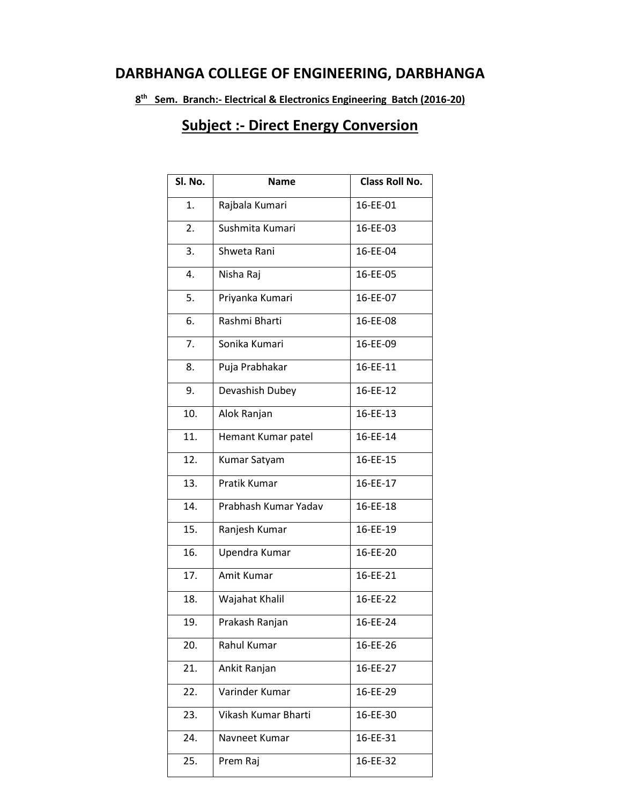# **DARBHANGA COLLEGE OF ENGINEERING, DARBHANGA**

**8 th Sem. Branch:- Electrical & Electronics Engineering Batch (2016-20)**

# **Subject :- Direct Energy Conversion**

| Sl. No. | <b>Name</b>          | Class Roll No. |  |  |
|---------|----------------------|----------------|--|--|
| 1.      | Rajbala Kumari       | 16-EE-01       |  |  |
| 2.      | Sushmita Kumari      | 16-EE-03       |  |  |
| 3.      | Shweta Rani          | 16-EE-04       |  |  |
| 4.      | Nisha Raj            | 16-EE-05       |  |  |
| 5.      | Priyanka Kumari      | 16-EE-07       |  |  |
| 6.      | Rashmi Bharti        | 16-EE-08       |  |  |
| 7.      | Sonika Kumari        | 16-EE-09       |  |  |
| 8.      | Puja Prabhakar       | 16-EE-11       |  |  |
| 9.      | Devashish Dubey      | 16-EE-12       |  |  |
| 10.     | Alok Ranjan          | 16-EE-13       |  |  |
| 11.     | Hemant Kumar patel   | 16-EE-14       |  |  |
| 12.     | Kumar Satyam         | 16-EE-15       |  |  |
| 13.     | Pratik Kumar         | 16-EE-17       |  |  |
| 14.     | Prabhash Kumar Yadav | 16-EE-18       |  |  |
| 15.     | Ranjesh Kumar        | 16-EE-19       |  |  |
| 16.     | Upendra Kumar        | 16-EE-20       |  |  |
| 17.     | Amit Kumar           | 16-EE-21       |  |  |
| 18.     | Wajahat Khalil       | 16-EE-22       |  |  |
| 19.     | Prakash Ranjan       | 16-EE-24       |  |  |
| 20.     | Rahul Kumar          | 16-EE-26       |  |  |
| 21.     | Ankit Ranjan         | 16-EE-27       |  |  |
| 22.     | Varinder Kumar       | 16-EE-29       |  |  |
| 23.     | Vikash Kumar Bharti  | 16-EE-30       |  |  |
| 24.     | Navneet Kumar        | 16-EE-31       |  |  |
| 25.     | Prem Raj             | 16-EE-32       |  |  |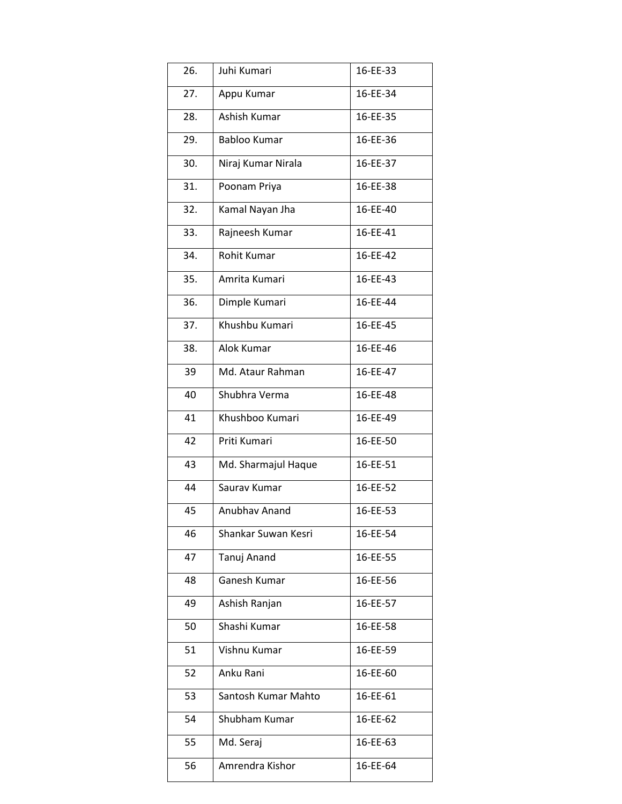| 26. | Juhi Kumari         | 16-EE-33 |
|-----|---------------------|----------|
| 27. | Appu Kumar          | 16-EE-34 |
| 28. | Ashish Kumar        | 16-EE-35 |
| 29. | <b>Babloo Kumar</b> | 16-EE-36 |
| 30. | Niraj Kumar Nirala  | 16-EE-37 |
| 31. | Poonam Priya        | 16-EE-38 |
| 32. | Kamal Nayan Jha     | 16-EE-40 |
| 33. | Rajneesh Kumar      | 16-EE-41 |
| 34. | Rohit Kumar         | 16-EE-42 |
| 35. | Amrita Kumari       | 16-EE-43 |
| 36. | Dimple Kumari       | 16-EE-44 |
| 37. | Khushbu Kumari      | 16-EE-45 |
| 38. | Alok Kumar          | 16-EE-46 |
| 39  | Md. Ataur Rahman    | 16-EE-47 |
| 40  | Shubhra Verma       | 16-EE-48 |
| 41  | Khushboo Kumari     | 16-EE-49 |
| 42  | Priti Kumari        | 16-EE-50 |
| 43  | Md. Sharmajul Haque | 16-EE-51 |
| 44  | Saurav Kumar        | 16-EE-52 |
| 45  | Anubhay Anand       | 16-EE-53 |
| 46  | Shankar Suwan Kesri | 16-EE-54 |
| 47  | Tanuj Anand         | 16-EE-55 |
| 48  | Ganesh Kumar        | 16-EE-56 |
| 49  | Ashish Ranjan       | 16-EE-57 |
| 50  | Shashi Kumar        | 16-EE-58 |
| 51  | Vishnu Kumar        | 16-EE-59 |
| 52  | Anku Rani           | 16-EE-60 |
| 53  | Santosh Kumar Mahto | 16-EE-61 |
| 54  | Shubham Kumar       | 16-EE-62 |
| 55  | Md. Seraj           | 16-EE-63 |
| 56  | Amrendra Kishor     | 16-EE-64 |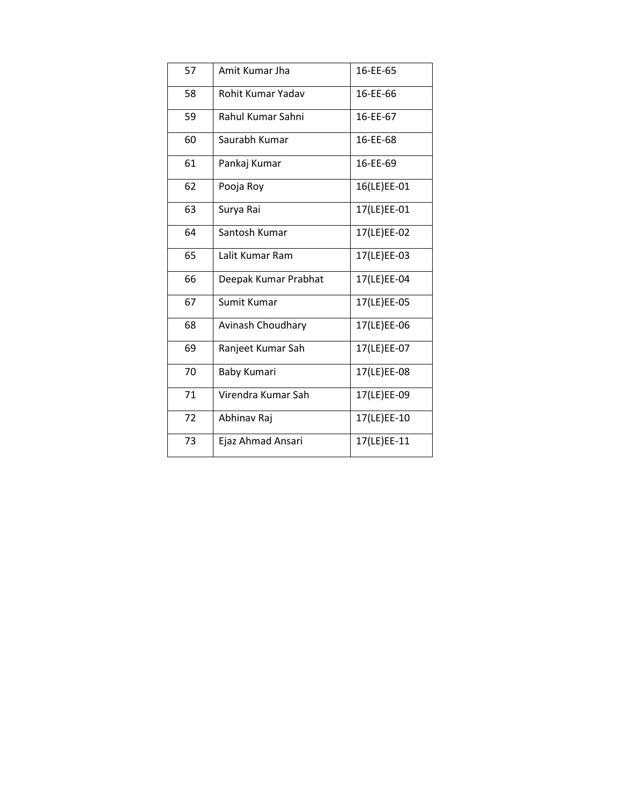| 57 | Amit Kumar Jha       | 16-EE-65    |
|----|----------------------|-------------|
| 58 | Rohit Kumar Yadav    | 16-EE-66    |
| 59 | Rahul Kumar Sahni    | 16-EE-67    |
| 60 | Saurabh Kumar        | 16-EE-68    |
| 61 | Pankaj Kumar         | 16-EE-69    |
| 62 | Pooja Roy            | 16(LE)EE-01 |
| 63 | Surya Rai            | 17(LE)EE-01 |
| 64 | Santosh Kumar        | 17(LE)EE-02 |
| 65 | Lalit Kumar Ram      | 17(LE)EE-03 |
| 66 | Deepak Kumar Prabhat | 17(LE)EE-04 |
| 67 | Sumit Kumar          | 17(LE)EE-05 |
| 68 | Avinash Choudhary    | 17(LE)EE-06 |
| 69 | Ranjeet Kumar Sah    | 17(LE)EE-07 |
| 70 | Baby Kumari          | 17(LE)EE-08 |
| 71 | Virendra Kumar Sah   | 17(LE)EE-09 |
| 72 | Abhinav Raj          | 17(LE)EE-10 |
| 73 | Ejaz Ahmad Ansari    | 17(LE)EE-11 |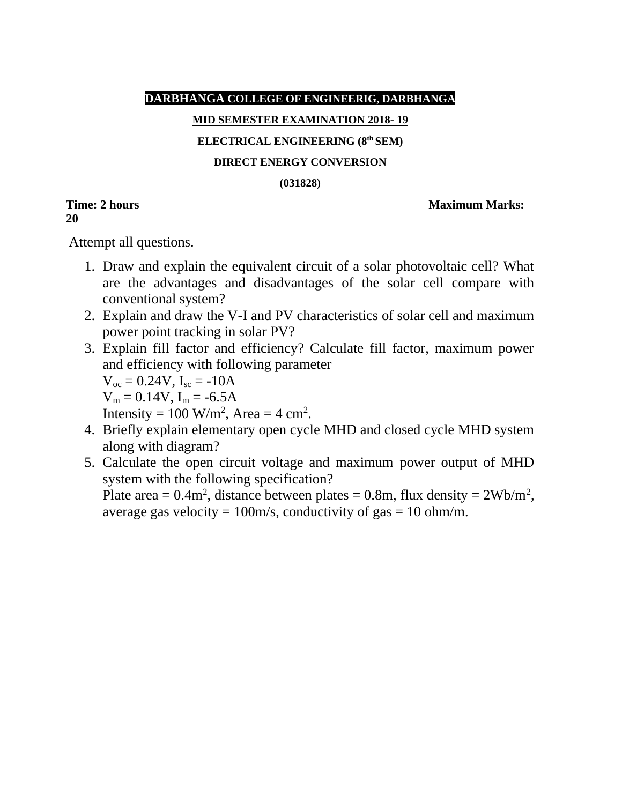#### **DARBHANGA COLLEGE OF ENGINEERIG, DARBHANGA**

#### **MID SEMESTER EXAMINATION 2018- 19**

#### **ELECTRICAL ENGINEERING (8th SEM)**

#### **DIRECT ENERGY CONVERSION**

#### **(031828)**

**20**

#### **Time: 2 hours** Maximum Marks:

Attempt all questions.

- 1. Draw and explain the equivalent circuit of a solar photovoltaic cell? What are the advantages and disadvantages of the solar cell compare with conventional system?
- 2. Explain and draw the V-I and PV characteristics of solar cell and maximum power point tracking in solar PV?
- 3. Explain fill factor and efficiency? Calculate fill factor, maximum power and efficiency with following parameter  $V_{oc} = 0.24V$ ,  $I_{sc} = -10A$

 $V_m = 0.14V$ ,  $I_m = -6.5A$ 

Intensity = 100 W/m<sup>2</sup>, Area =  $4 \text{ cm}^2$ .

- 4. Briefly explain elementary open cycle MHD and closed cycle MHD system along with diagram?
- 5. Calculate the open circuit voltage and maximum power output of MHD system with the following specification? Plate area =  $0.4$ m<sup>2</sup>, distance between plates =  $0.8$ m, flux density =  $2Wb/m^2$ ,

average gas velocity =  $100m/s$ , conductivity of gas =  $10 \text{ ohm/m}$ .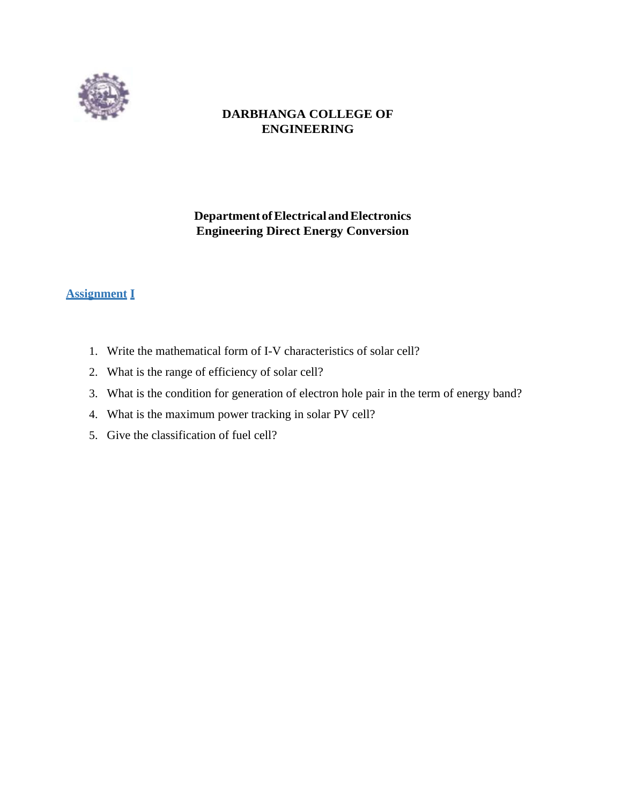

### **DARBHANGA COLLEGE OF ENGINEERING**

## **Department ofElectrical andElectronics Engineering Direct Energy Conversion**

### **Assignment I**

- 1. Write the mathematical form of I-V characteristics of solar cell?
- 2. What is the range of efficiency of solar cell?
- 3. What is the condition for generation of electron hole pair in the term of energy band?
- 4. What is the maximum power tracking in solar PV cell?
- 5. Give the classification of fuel cell?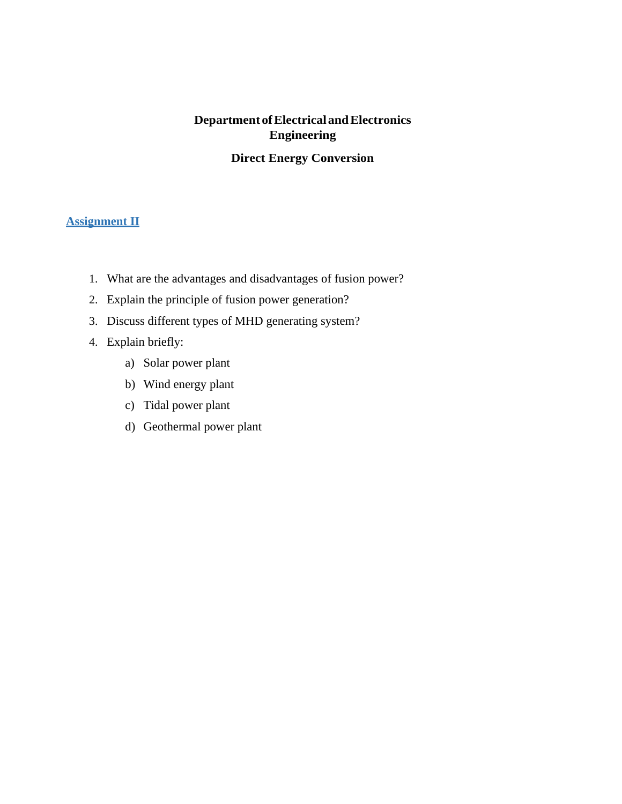# **Department ofElectrical andElectronics Engineering**

## **Direct Energy Conversion**

#### **Assignment II**

- 1. What are the advantages and disadvantages of fusion power?
- 2. Explain the principle of fusion power generation?
- 3. Discuss different types of MHD generating system?
- 4. Explain briefly:
	- a) Solar power plant
	- b) Wind energy plant
	- c) Tidal power plant
	- d) Geothermal power plant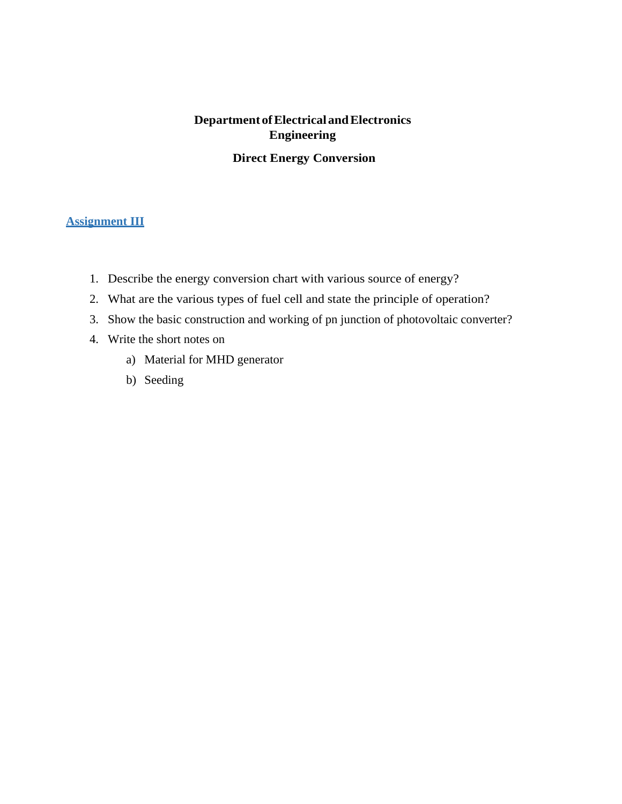# **Department ofElectrical andElectronics Engineering Direct Energy Conversion**

#### **Assignment III**

- 1. Describe the energy conversion chart with various source of energy?
- 2. What are the various types of fuel cell and state the principle of operation?
- 3. Show the basic construction and working of pn junction of photovoltaic converter?
- 4. Write the short notes on
	- a) Material for MHD generator
	- b) Seeding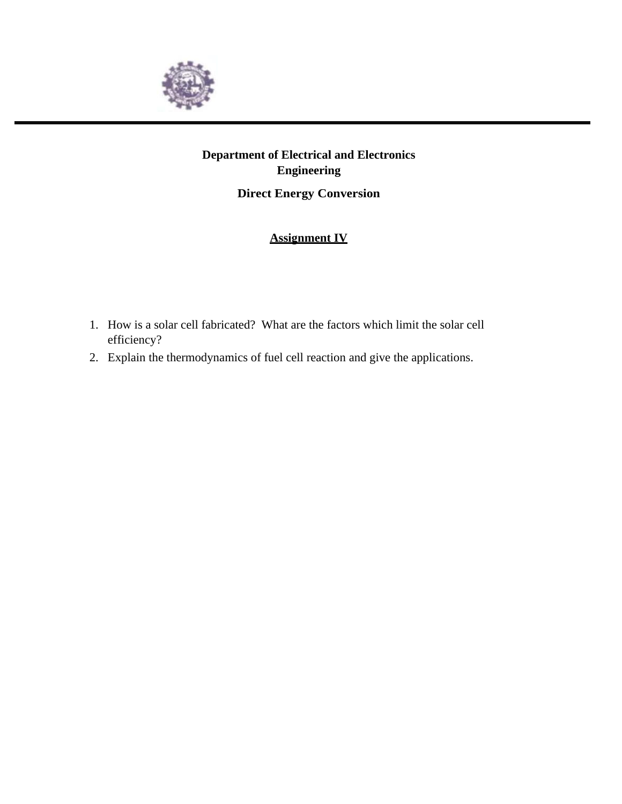

# **Department of Electrical and Electronics Engineering**

**Direct Energy Conversion**

## **Assignment IV**

- 1. How is a solar cell fabricated? What are the factors which limit the solar cell efficiency?
- 2. Explain the thermodynamics of fuel cell reaction and give the applications.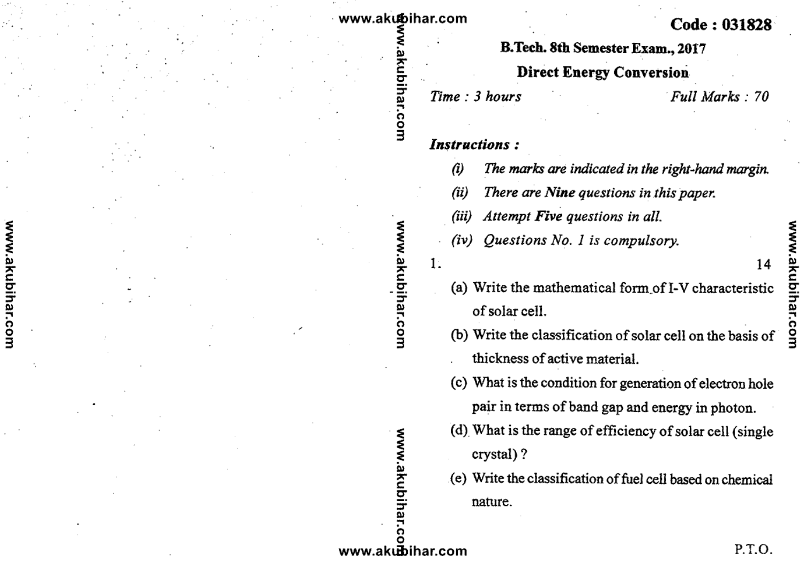## www.akubihar.com

Ξ

**F.com** 

www.akubihar.com

www.akubihar.com

## Code: 031828

B.Tech. 8th Semester Exam., 2017

# **Direct Energy Conversion**

Time: 3 hours

Full Marks: 70

## **Instructions:**

- $\hat{a}$ The marks are indicated in the right-hand margin.
- $(ii)$ There are Nine questions in this paper.
- (iii) Attempt Five questions in all.
- Questions No. 1 is compulsory.  $(iv)$

 $1.$ 

- (a) Write the mathematical form of I-V characteristic of solar cell.
- (b) Write the classification of solar cell on the basis of thickness of active material.
- (c) What is the condition for generation of electron hole pair in terms of band gap and energy in photon.
- (d) What is the range of efficiency of solar cell (single crystal)?
- (e) Write the classification of fuel cell based on chemical nature.

14

www.akubih www.akubihar.com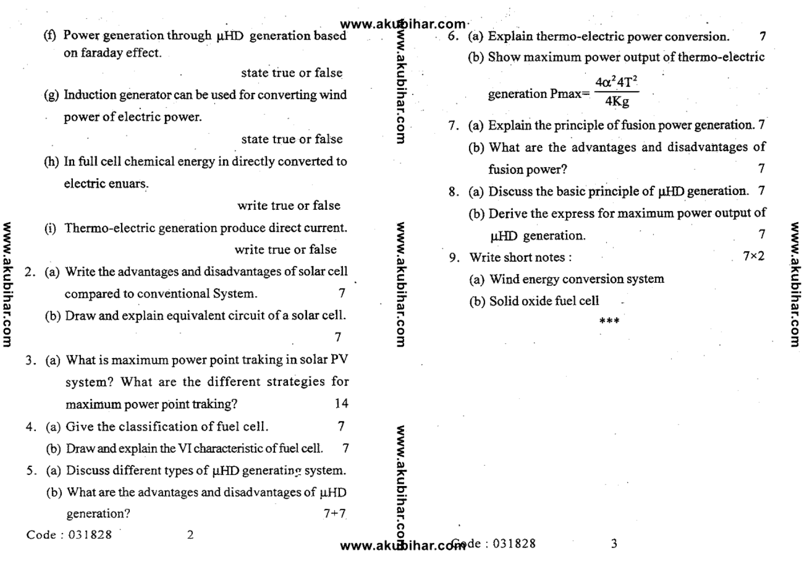|                  |  |     |                                                                     | www.akubihar.com                 |    |                                                                                                      |
|------------------|--|-----|---------------------------------------------------------------------|----------------------------------|----|------------------------------------------------------------------------------------------------------|
|                  |  |     | Power generation through µHD generation based<br>on faraday effect. |                                  |    | 6. (a) Explain thermo-electric power conversion.<br>(b) Show maximum power output of thermo-electric |
|                  |  |     | state true or false                                                 |                                  |    |                                                                                                      |
|                  |  |     | (g) Induction generator can be used for converting wind             |                                  |    | $4\alpha^2 4T^2$<br>generation Pmax=<br>4Kg                                                          |
|                  |  |     | power of electric power.                                            |                                  |    |                                                                                                      |
|                  |  |     | state true or false                                                 | com                              |    | 7. (a) Explain the principle of fusion power generation. 7                                           |
|                  |  |     | (h) In full cell chemical energy in directly converted to           |                                  |    | (b) What are the advantages and disadvantages of                                                     |
|                  |  |     | electric enuars.                                                    |                                  |    | fusion power?                                                                                        |
|                  |  |     | write true or false                                                 |                                  |    | 8. (a) Discuss the basic principle of $\mu$ HD generation. 7                                         |
|                  |  | (i) | Thermo-electric generation produce direct current.                  |                                  |    | (b) Derive the express for maximum power output of                                                   |
| www.akubihar.com |  |     | write true or false                                                 | <b>MW</b>                        | 9. | µHD generation.<br>$7\times2$<br>Write short notes :                                                 |
|                  |  |     | 2. (a) Write the advantages and disadvantages of solar cell         | .akubihar.com                    |    |                                                                                                      |
|                  |  |     | compared to conventional System.                                    |                                  |    | (a) Wind energy conversion system                                                                    |
|                  |  |     | (b) Draw and explain equivalent circuit of a solar cell.            |                                  |    | (b) Solid oxide fuel cell                                                                            |
|                  |  |     |                                                                     |                                  |    |                                                                                                      |
|                  |  |     | 3. (a) What is maximum power point traking in solar PV              |                                  |    |                                                                                                      |
|                  |  |     | system? What are the different strategies for                       |                                  |    |                                                                                                      |
|                  |  |     | 14<br>maximum power point traking?                                  |                                  |    |                                                                                                      |
|                  |  |     | 4. (a) Give the classification of fuel cell.                        |                                  |    |                                                                                                      |
|                  |  |     | (b) Draw and explain the VI characteristic of fuel cell.            |                                  |    |                                                                                                      |
|                  |  |     | 5. (a) Discuss different types of $\mu$ HD generating system.       |                                  |    |                                                                                                      |
|                  |  |     | (b) What are the advantages and disadvantages of µHD                | akubihar.                        |    |                                                                                                      |
|                  |  |     | generation?<br>$7 + 7$                                              |                                  |    |                                                                                                      |
|                  |  |     | Code: 031828<br>2                                                   | ი<br>www.akubihar.com de: 031828 |    | 3                                                                                                    |

www.akubihar.com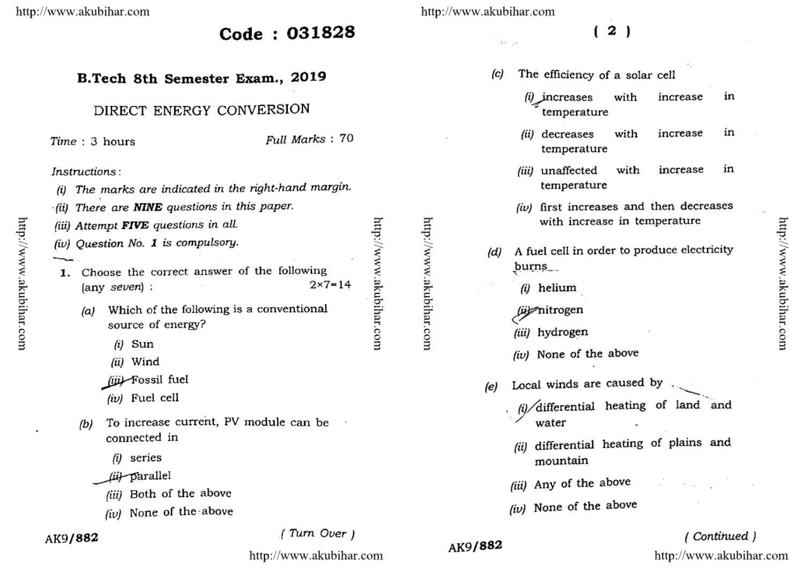Code: 031828

## B.Tech 8th Semester Exam., 2019

## DIRECT ENERGY CONVERSION

Time: 3 hours

Full Marks: 70

#### Instructions:

- The marks are indicated in the right-hand margin. (i)
- There are **NINE** questions in this paper. · (ii)
- (iii) Attempt FIVE questions in all.
- (iv) Question No. 1 is compulsory.
- 1. Choose the correct answer of the following  $2x7 = 14$ (any seven) :
	- Which of the following is a conventional (a) source of energy?
		- $(i)$  Sun
		- (ii) Wind
		- (iji) Fossil fuel
		- $(iv)$  Fuel cell
	- To increase current, PV module can be (b) connected in
		- $(i)$  series
		- fül parallel
			- (iii) Both of the above
		- (iv) None of the above

## AK9/882

#### (Turn Over)

http://www.akubihar.com

http://www.akubihar.com

 $\mathbf{v}_1, \ldots, \mathbf{v}_k$ 

# $2<sub>1</sub>$

- The efficiency of a solar cell  $(c)$ 
	- $(i)$  increases with in increase temperature
	- in (ii) decreases with increase temperature
	- unaffected in with increase (iii) temperature
	- (iv) first increases and then decreases with increase in temperature
- A fuel cell in order to produce electricity (d) burns\_
	- $(i)$  helium
	- (up nitrogen
	- (iii) hydrogen
	- (iv) None of the above
- Local winds are caused by  $(e)$ 
	- $\frac{1}{4}$  /differential heating of land and water
		- (ii) differential heating of plains and mountain
		- (iii) Any of the above
		- (iv) None of the above

# (Continued)

http://www.akubihar.com

http://www.akubihar.com

http://www.akubihar.com

AK9/882

http://www.akubihar.com

€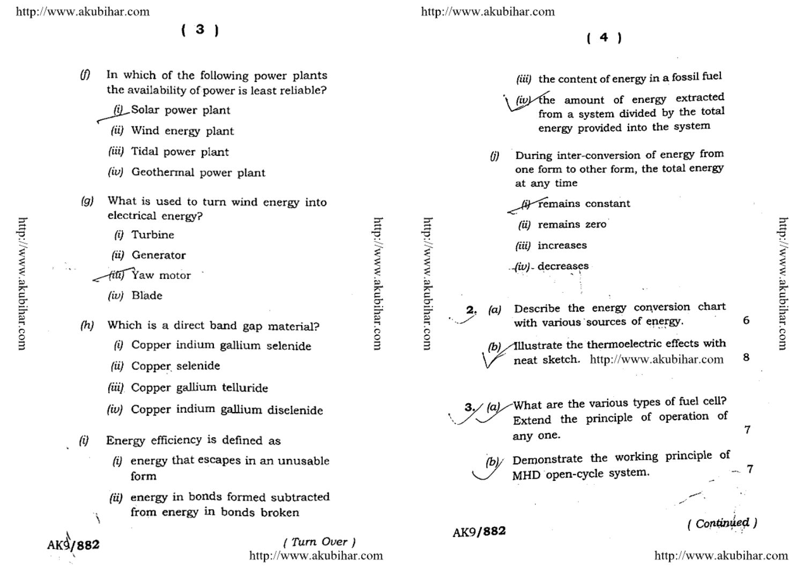$3)$ 

- (f) In which of the following power plants the availability of power is least reliable?
	- (i) Solar power plant
	- (ii) Wind energy plant
	- (iii) Tidal power plant
	- $(iv)$  Geothermal power plant
- What is used to turn wind energy into (g) electrical energy?
	- (i) Turbine
	- (ii) Generator
	- Yaw motor
		- (iv) Blade
- Which is a direct band gap material? (h)
	- (i) Copper indium gallium selenide
	- Copper selenide (ii)
	- (iii) Copper gallium telluride
	- (iv) Copper indium gallium disclenide
- Energy efficiency is defined as (i)
	- $(i)$  energy that escapes in an unusable form
	- (ii) energy in bonds formed subtracted from energy in bonds broken

(Turn Over) http://www.akubihar.com http://www.akubihar.com

- $(4)$
- (iii) the content of energy in a fossil fuel (iv) the amount of energy extracted from a system divided by the total energy provided into the system During inter-conversion of energy from  $\eta$ one form to other form, the total energy at any time remains constant (ii) remains zero (iii) increases (iv) decreases Describe the energy conversion chart (a) with various sources of energy. 6 Allustrate the thermoelectric effects with neat sketch. http://www.akubihar.com 8 What are the various types of fuel cell?  $3/|a|$ Extend the principle of operation of any one. Demonstrate the working principle of ſЫ/ MHD open-cycle system. Continued ) AK9/882

http://www.akubihar.com

http://www.akubihar.com

7

 $\overline{7}$ 

http://www.akubihar.com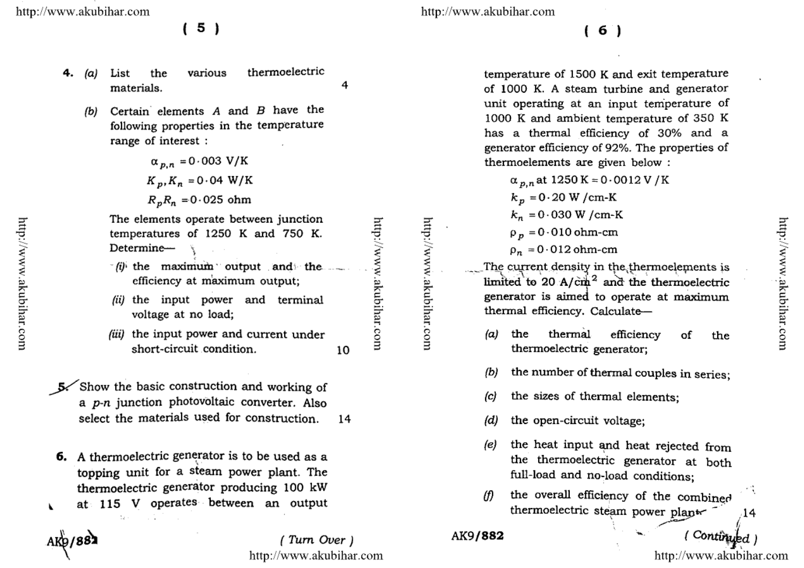$5)$ 

- various thermoelectric 4. (a) List the materials.
	- Certain elements  $A$  and  $B$  have the (b) following properties in the temperature range of interest:

$$
\alpha_{p,n} = 0.003 \text{ V/K}
$$
  

$$
K_p, K_n = 0.04 \text{ W/K}
$$
  

$$
R_p R_n = 0.025 \text{ ohm}
$$

The elements operate between junction temperatures of 1250 K and 750 K. Determine-

- (i) the maximum output and the efficiency at maximum output;
- (ii) the input power and terminal voltage at no load:
- (iii) the input power and current under short-circuit condition.
- 5. Show the basic construction and working of a p-n junction photovoltaic converter. Also select the materials used for construction. 14
- 6. A thermoelectric generator is to be used as a topping unit for a steam power plant. The thermoelectric generator producing 100 kW at 115 V operates between an output  $\overline{\phantom{a}}$

AK9/88

(Turn Over) http://www.akubihar.com http://www.akubihar.com

 $(6)$ 

temperature of 1500 K and exit temperature of 1000 K. A steam turbine and generator unit operating at an input temperature of 1000 K and ambient temperature of 350 K has a thermal efficiency of 30% and a generator efficiency of 92%. The properties of thermoelements are given below :

 $\alpha_{p,n}$  at 1250 K = 0.0012 V / K  $k_p = 0.20$  W / cm-K  $k_n = 0.030$  W / cm-K  $\rho_n = 0.010$  ohm-cm  $\rho_n = 0.012$  ohm-cm The current density in the thermoelements is

limited to 20  $A/\text{cm}^2$  and the thermoelectric generator is aimed to operate at maximum thermal efficiency. Calculate-

- thermal (a) the efficiency of the thermoelectric generator:
- the number of thermal couples in series; (b)
- the sizes of thermal elements;  $(c)$
- the open-circuit voltage: (d)
- the heat input and heat rejected from (e) the thermoelectric generator at both full-load and no-load conditions:
- 冲突 the overall efficiency of the combined (f) thermoelectric steam power plant 14

AK9/882

http://www.akubihar.com

(Continued)

http://www.akubihar.com

http://www.akubihar.com

10

4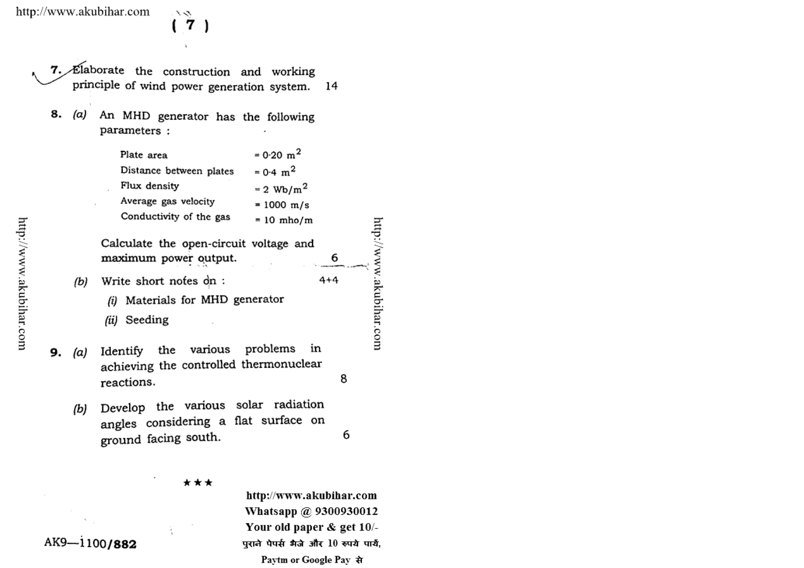メロ 7

7. Elaborate the construction and working principle of wind power generation system. 14

8. (a) An MHD generator has the following parameters :

| Plate area              | $= 0.20$ m <sup>2</sup> |
|-------------------------|-------------------------|
| Distance between plates | $= 0.4 \text{ m}^2$     |
| Flux density            | $= 2$ Wb/m <sup>2</sup> |
| Average gas velocity    | $= 1000$ m/s            |
| Conductivity of the gas | $= 10$ mho/m            |

Calculate the open-circuit voltage and maximum power output.

- (b) Write short notes on:
	-
	- (i) Materials for MHD generator
	- (ii) Seeding
- Identify the various problems in 9.  $(a)$ achieving the controlled thermonuclear reactions.
	- Develop the various solar radiation  $(b)$ angles considering a flat surface on ground facing south.

\*\*\*

http://www.akubihar.com Whatsapp @ 9300930012 Your old paper & get 10/-पुराने पेपर्स भैजे और 10 रुपये पार्य, Paytm or Google Pay से

http://www.akubihar.com

6

8

6

 $4 + 4$ 

AK9-1100/882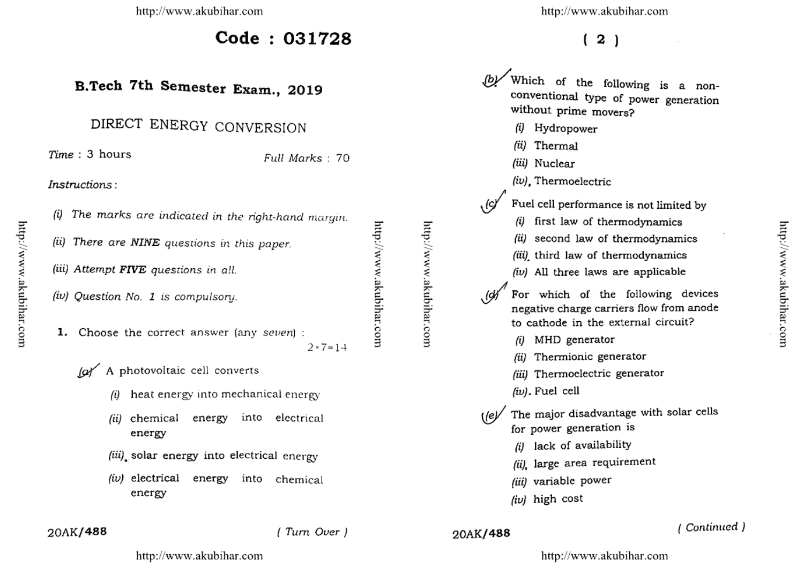$Code: 031728$ 

# B.Tech 7th Semester Exam., 2019

# DIRECT ENERGY CONVERSION

 $Time: 3 hours$ 

Full Marks: 70

Instructions:

| (i) The marks are indicated in the right-hand margin. |                   |
|-------------------------------------------------------|-------------------|
| (ii) There are NINE questions in this paper.          |                   |
| (iii) Attempt FIVE questions in all.                  |                   |
| (iv) Question No. 1 is compulsory.                    |                   |
| <b>1.</b> Choose the correct answer (any seven) :     | $2 \times 7 = 14$ |

(a) A photovoltaic cell converts

- heat energy into mechanical energy
- chemical energy into electrical (ii) energy
- (iii) solar energy into electrical energy
- (iv) electrical energy into chemical energy

http://www.akubihar.com

 $(2)$ 

Which of the following is a nonconventional type of power generation without prime movers? (i) Hydropower (ii) Thermal (iii) Nuclear (iv). Thermoelectric Fuel cell performance is not limited by (i) first law of thermodynamics (ii) second law of thermodynamics (iii) third law of thermodynamics (iv) All three laws are applicable For which of the following devices negative charge carriers flow from anode to cathode in the external circuit? (i) MHD generator (ii) Thermionic generator (iii) Thermoelectric generator  $(iv)$ . Fuel cell The major disadvantage with solar cells  $($ /e $\nu$ for power generation is (i) lack of availability (ii), large area requirement (iii) variable power (iv) high cost

## 20AK/488

(Turn Over)

#### 20AK/488

### (Continued)

http://www.akubihar.com

http://www.akubihar.com

http://www.akubihar.com

http://www.akubihar.com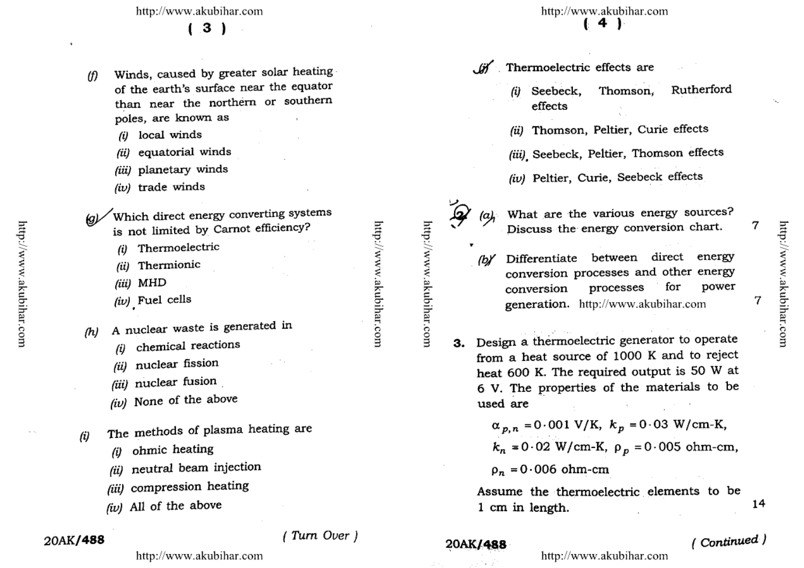$(.3)$ 

- Winds, caused by greater solar heating (f) of the earth's surface near the equator than near the northern or southern poles, are known as
	- $(i)$  local winds
	- (ii) equatorial winds
	- (iii) planetary winds
	- $(iv)$  trade winds
- Which direct energy converting systems is not limited by Carnot efficiency?
	- (i) Thermoelectric
	- (ii) Thermionic
	- (iii) MHD
	- (iv) Fuel cells
- A nuclear waste is generated in  $(h)$ 
	- chemical reactions (i)
	- nuclear fission (ü)
	- (iii) nuclear fusion
	- (iv) None of the above
- The methods of plasma heating are (i)
	- ohmic heating  $(i)$
	- (ii) neutral beam injection
	- (iii) compression heating
	- (iv) All of the above

#### 20AK/488

(Turn Over)

- Thermoelectric effects are . GK
	- Rutherford (i) Seebeck, Thomson. effects
	- (ii) Thomson, Peltier, Curie effects
	- (iii) Seebeck, Peltier, Thomson effects
	- (iv) Peltier, Curie, Seebeck effects



(a)

What are the various energy sources? 7 http://www.akubihar.com

7

- Discuss the energy conversion chart. Differentiate between direct energy
- conversion processes and other energy processes for for power conversion generation. http://www.akubihar.com
- 3. Design a thermoelectric generator to operate from a heat source of 1000 K and to reject heat 600 K. The required output is 50 W at 6 V. The properties of the materials to be used are
	- $\alpha_{p,n} = 0.001 \text{ V/K}, k_p = 0.03 \text{ W/cm-K},$  $k_n = 0.02$  W/cm-K,  $\rho_p = 0.005$  ohm-cm,
	- $\rho_n = 0.006$  ohm-cm

Assume the thermoelectric elements to be 1 cm in length.

#### 20AK/488

# $(Continued.)$

http://www.akubihar.com

http://www.akubihar.com

14

http://www.akubihar.com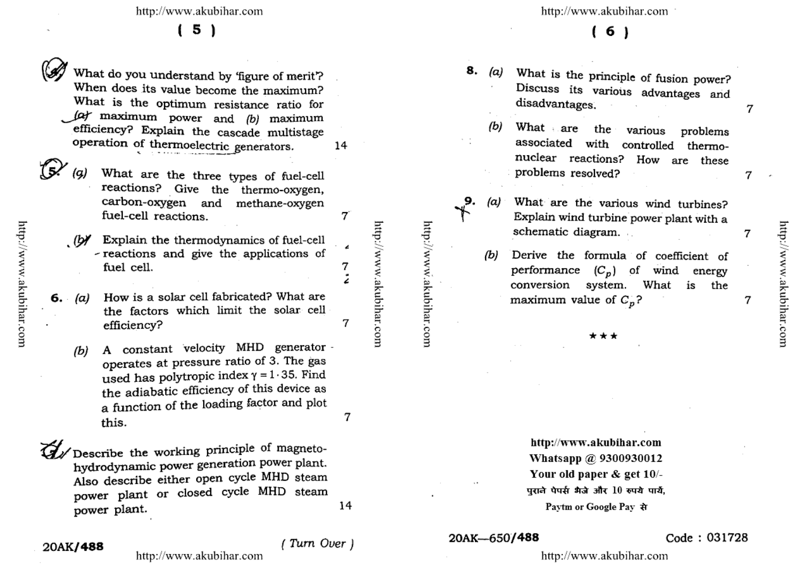$(5)$ 

What do you understand by 'figure of merit'? When does its value become the maximum? What is the optimum resistance ratio for (a) maximum power and (b) maximum efficiency? Explain the cascade multistage operation of thermoelectric generators.

- What are the three types of fuel-cell reactions? Give the thermo-oxygen, carbon-oxygen and methane-oxygen fuel-cell reactions.
- $(b)$ Explain the thermodynamics of fuel-cell - reactions and give the applications of fuel cell.
- How is a solar cell fabricated? What are 6.  $(a)$ the factors which limit the solar cell efficiency?
	- A constant velocity MHD generator - $(b)$ operates at pressure ratio of 3. The gas used has polytropic index  $\gamma = 1.35$ . Find the adiabatic efficiency of this device as a function of the loading factor and plot this.

Describe the working principle of magnetohydrodynamic power generation power plant. Also describe either open cycle MHD steam power plant or closed cycle MHD steam power plant.

http://www.akubihar.com

http://www.akubihar.com

14

7

7

7

14

(Turn Over)

http://www.akubihar.com

6)

- 8. What is the principle of fusion power?  $(a)$ Discuss its various advantages and disadvantages.
	- What are (b) the various problems associated with controlled thermonuclear reactions? How are these problems resolved?
	- What are the various wind turbines?  $(a)$ Explain wind turbine power plant with a schematic diagram.

9.

- Derive the formula of coefficient of (b) performance  $(C_p)$  of wind energy conversion What system. is the maximum value of  $C_n$ ?
	- \*\*\*

http://www.akubihar.com Whatsapp @ 9300930012 Your old paper & get 10/-पुराने पेपर्स भैजे और 10 रुपये पार्य, Paytm or Google Pay से

#### 20AK-650/488

#### Code: 031728

http://www.akubihar.com

7

7

7

 $\overline{7}$ 

20AK/488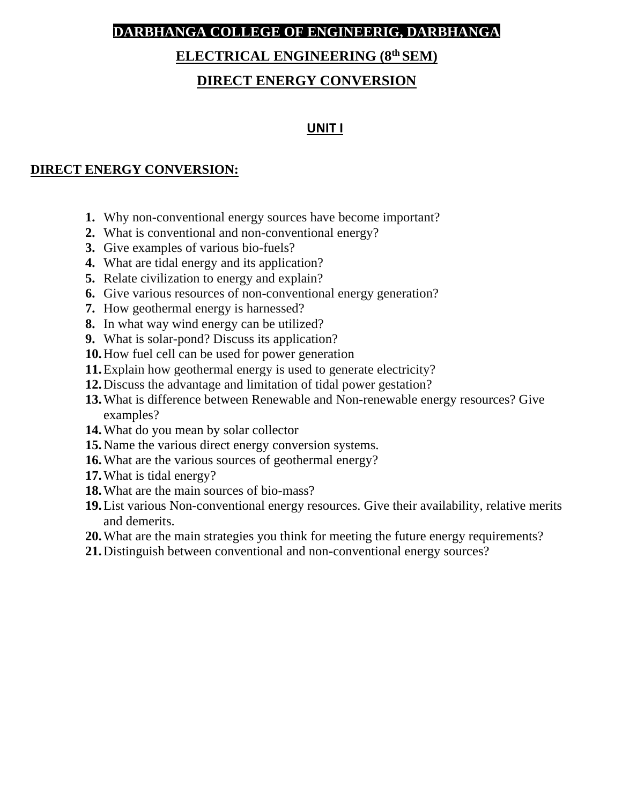## **DARBHANGA COLLEGE OF ENGINEERIG, DARBHANGA**

## **ELECTRICAL ENGINEERING (8th SEM)**

## **DIRECT ENERGY CONVERSION**

## **UNIT I**

### **DIRECT ENERGY CONVERSION:**

- **1.** Why non-conventional energy sources have become important?
- **2.** What is conventional and non-conventional energy?
- **3.** Give examples of various bio-fuels?
- **4.** What are tidal energy and its application?
- **5.** Relate civilization to energy and explain?
- **6.** Give various resources of non-conventional energy generation?
- **7.** How geothermal energy is harnessed?
- **8.** In what way wind energy can be utilized?
- **9.** What is solar-pond? Discuss its application?
- **10.**How fuel cell can be used for power generation
- **11.**Explain how geothermal energy is used to generate electricity?
- **12.**Discuss the advantage and limitation of tidal power gestation?
- **13.**What is difference between Renewable and Non-renewable energy resources? Give examples?
- **14.**What do you mean by solar collector
- **15.**Name the various direct energy conversion systems.
- **16.**What are the various sources of geothermal energy?
- **17.**What is tidal energy?
- **18.**What are the main sources of bio-mass?
- **19.**List various Non-conventional energy resources. Give their availability, relative merits and demerits.
- **20.**What are the main strategies you think for meeting the future energy requirements?
- **21.**Distinguish between conventional and non-conventional energy sources?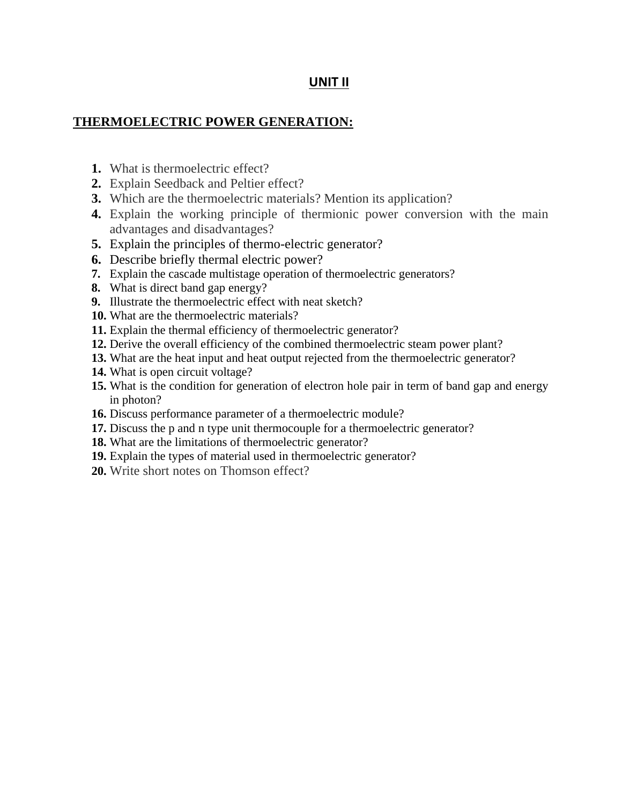### **UNIT II**

### **THERMOELECTRIC POWER GENERATION:**

- **1.** What is thermoelectric effect?
- **2.** Explain Seedback and Peltier effect?
- **3.** Which are the thermoelectric materials? Mention its application?
- **4.** Explain the working principle of thermionic power conversion with the main advantages and disadvantages?
- **5.** Explain the principles of thermo-electric generator?
- **6.** Describe briefly thermal electric power?
- **7.** Explain the cascade multistage operation of thermoelectric generators?
- **8.** What is direct band gap energy?
- **9.** Illustrate the thermoelectric effect with neat sketch?
- **10.** What are the thermoelectric materials?
- **11.** Explain the thermal efficiency of thermoelectric generator?
- **12.** Derive the overall efficiency of the combined thermoelectric steam power plant?
- **13.** What are the heat input and heat output rejected from the thermoelectric generator?
- **14.** What is open circuit voltage?
- **15.** What is the condition for generation of electron hole pair in term of band gap and energy in photon?
- **16.** Discuss performance parameter of a thermoelectric module?
- **17.** Discuss the p and n type unit thermocouple for a thermoelectric generator?
- **18.** What are the limitations of thermoelectric generator?
- **19.** Explain the types of material used in thermoelectric generator?
- **20.** Write short notes on Thomson effect?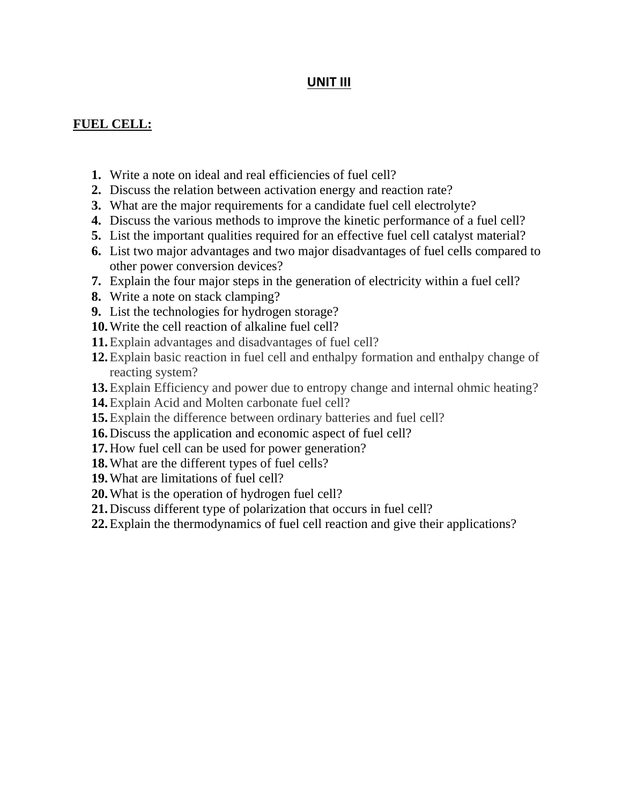## **UNIT III**

## **FUEL CELL:**

- **1.** Write a note on ideal and real efficiencies of fuel cell?
- **2.** Discuss the relation between activation energy and reaction rate?
- **3.** What are the major requirements for a candidate fuel cell electrolyte?
- **4.** Discuss the various methods to improve the kinetic performance of a fuel cell?
- **5.** List the important qualities required for an effective fuel cell catalyst material?
- **6.** List two major advantages and two major disadvantages of fuel cells compared to other power conversion devices?
- **7.** Explain the four major steps in the generation of electricity within a fuel cell?
- **8.** Write a note on stack clamping?
- **9.** List the technologies for hydrogen storage?
- **10.**Write the cell reaction of alkaline fuel cell?
- **11.**Explain advantages and disadvantages of fuel cell?
- **12.**Explain basic reaction in fuel cell and enthalpy formation and enthalpy change of reacting system?
- **13.**Explain Efficiency and power due to entropy change and internal ohmic heating?
- **14.**Explain Acid and Molten carbonate fuel cell?
- **15.**Explain the difference between ordinary batteries and fuel cell?
- **16.**Discuss the application and economic aspect of fuel cell?
- **17.**How fuel cell can be used for power generation?
- **18.**What are the different types of fuel cells?
- **19.**What are limitations of fuel cell?
- **20.**What is the operation of hydrogen fuel cell?
- **21.**Discuss different type of polarization that occurs in fuel cell?
- **22.**Explain the thermodynamics of fuel cell reaction and give their applications?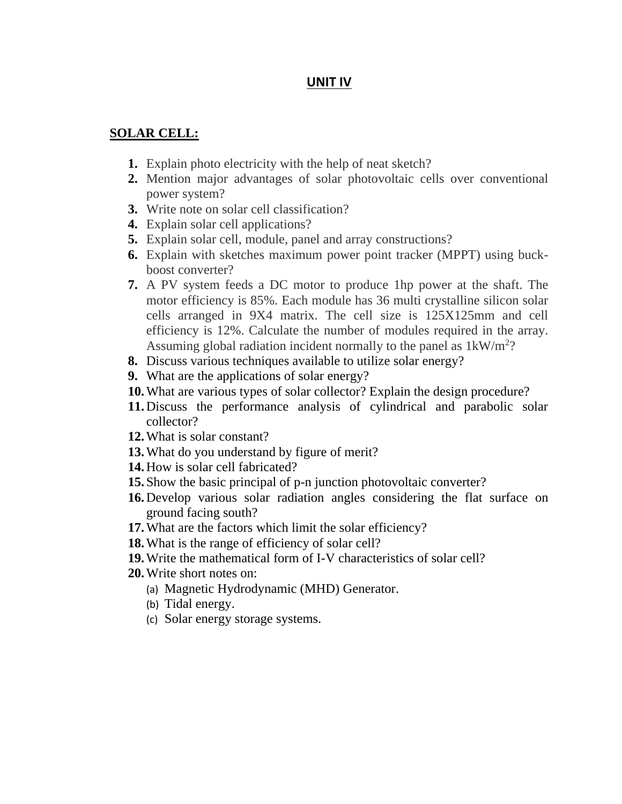## **UNIT IV**

#### **SOLAR CELL:**

- **1.** Explain photo electricity with the help of neat sketch?
- **2.** Mention major advantages of solar photovoltaic cells over conventional power system?
- **3.** Write note on solar cell classification?
- **4.** Explain solar cell applications?
- **5.** Explain solar cell, module, panel and array constructions?
- **6.** Explain with sketches maximum power point tracker (MPPT) using buckboost converter?
- **7.** A PV system feeds a DC motor to produce 1hp power at the shaft. The motor efficiency is 85%. Each module has 36 multi crystalline silicon solar cells arranged in 9X4 matrix. The cell size is 125X125mm and cell efficiency is 12%. Calculate the number of modules required in the array. Assuming global radiation incident normally to the panel as  $1 \text{kW/m}^2$ ?
- **8.** Discuss various techniques available to utilize solar energy?
- **9.** What are the applications of solar energy?
- **10.**What are various types of solar collector? Explain the design procedure?
- **11.**Discuss the performance analysis of cylindrical and parabolic solar collector?
- **12.**What is solar constant?
- **13.**What do you understand by figure of merit?
- **14.**How is solar cell fabricated?
- **15.**Show the basic principal of p-n junction photovoltaic converter?
- **16.**Develop various solar radiation angles considering the flat surface on ground facing south?
- **17.**What are the factors which limit the solar efficiency?
- **18.**What is the range of efficiency of solar cell?
- **19.**Write the mathematical form of I-V characteristics of solar cell?
- **20.**Write short notes on:
	- (a) Magnetic Hydrodynamic (MHD) Generator.
	- (b) Tidal energy.
	- (c) Solar energy storage systems.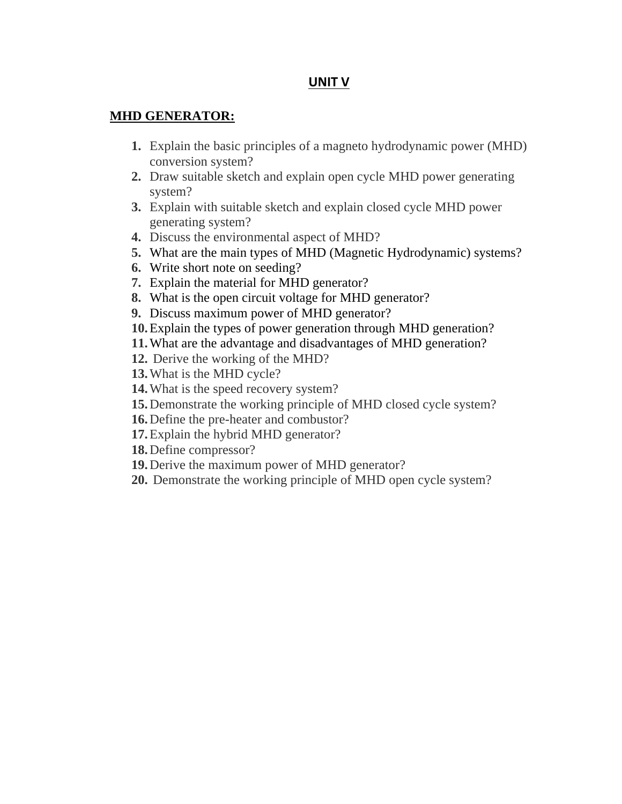### **UNIT V**

### **MHD GENERATOR:**

- **1.** Explain the basic principles of a magneto hydrodynamic power (MHD) conversion system?
- **2.** Draw suitable sketch and explain open cycle MHD power generating system?
- **3.** Explain with suitable sketch and explain closed cycle MHD power generating system?
- **4.** Discuss the environmental aspect of MHD?
- **5.** What are the main types of MHD (Magnetic Hydrodynamic) systems?
- **6.** Write short note on seeding?
- **7.** Explain the material for MHD generator?
- **8.** What is the open circuit voltage for MHD generator?
- **9.** Discuss maximum power of MHD generator?
- **10.**Explain the types of power generation through MHD generation?
- **11.**What are the advantage and disadvantages of MHD generation?
- **12.** Derive the working of the MHD?
- **13.**What is the MHD cycle?
- **14.**What is the speed recovery system?
- **15.**Demonstrate the working principle of MHD closed cycle system?
- **16.**Define the pre-heater and combustor?
- **17.**Explain the hybrid MHD generator?
- **18.**Define compressor?
- **19.**Derive the maximum power of MHD generator?
- **20.** Demonstrate the working principle of MHD open cycle system?